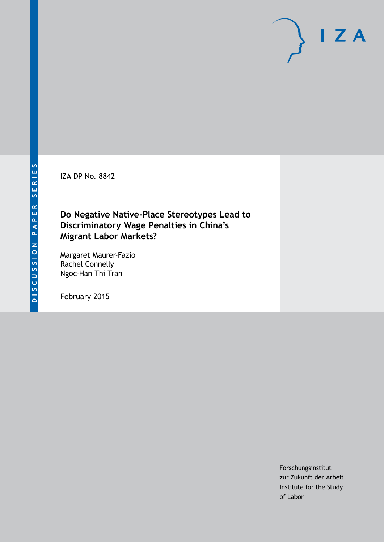IZA DP No. 8842

# **Do Negative Native-Place Stereotypes Lead to Discriminatory Wage Penalties in China's Migrant Labor Markets?**

Margaret Maurer-Fazio Rachel Connelly Ngoc-Han Thi Tran

February 2015

Forschungsinstitut zur Zukunft der Arbeit Institute for the Study of Labor

 $I Z A$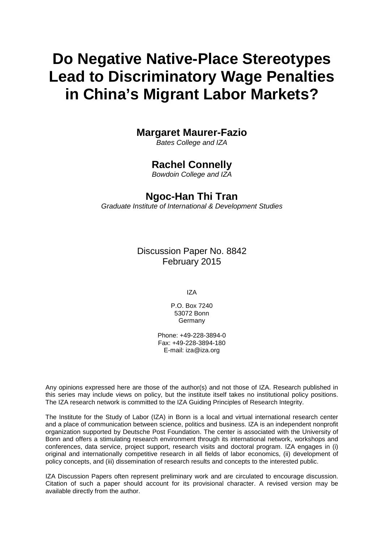# **Do Negative Native-Place Stereotypes Lead to Discriminatory Wage Penalties in China's Migrant Labor Markets?**

### **Margaret Maurer-Fazio**

*Bates College and IZA*

# **Rachel Connelly**

*Bowdoin College and IZA*

# **Ngoc-Han Thi Tran**

*Graduate Institute of International & Development Studies*

Discussion Paper No. 8842 February 2015

IZA

P.O. Box 7240 53072 Bonn **Germany** 

Phone: +49-228-3894-0 Fax: +49-228-3894-180 E-mail: [iza@iza.org](mailto:iza@iza.org)

Any opinions expressed here are those of the author(s) and not those of IZA. Research published in this series may include views on policy, but the institute itself takes no institutional policy positions. The IZA research network is committed to the IZA Guiding Principles of Research Integrity.

The Institute for the Study of Labor (IZA) in Bonn is a local and virtual international research center and a place of communication between science, politics and business. IZA is an independent nonprofit organization supported by Deutsche Post Foundation. The center is associated with the University of Bonn and offers a stimulating research environment through its international network, workshops and conferences, data service, project support, research visits and doctoral program. IZA engages in (i) original and internationally competitive research in all fields of labor economics, (ii) development of policy concepts, and (iii) dissemination of research results and concepts to the interested public.

IZA Discussion Papers often represent preliminary work and are circulated to encourage discussion. Citation of such a paper should account for its provisional character. A revised version may be available directly from the author.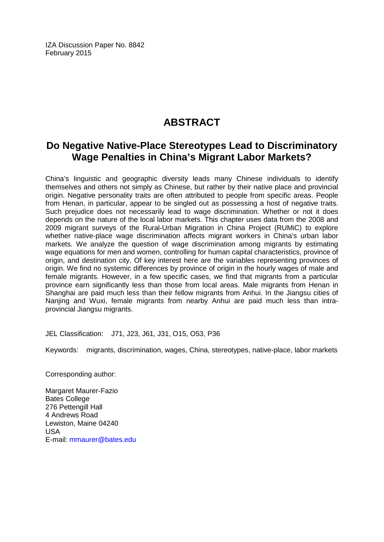IZA Discussion Paper No. 8842 February 2015

# **ABSTRACT**

# **Do Negative Native-Place Stereotypes Lead to Discriminatory Wage Penalties in China's Migrant Labor Markets?**

China's linguistic and geographic diversity leads many Chinese individuals to identify themselves and others not simply as Chinese, but rather by their native place and provincial origin. Negative personality traits are often attributed to people from specific areas. People from Henan, in particular, appear to be singled out as possessing a host of negative traits. Such prejudice does not necessarily lead to wage discrimination. Whether or not it does depends on the nature of the local labor markets. This chapter uses data from the 2008 and 2009 migrant surveys of the Rural-Urban Migration in China Project (RUMiC) to explore whether native-place wage discrimination affects migrant workers in China's urban labor markets. We analyze the question of wage discrimination among migrants by estimating wage equations for men and women, controlling for human capital characteristics, province of origin, and destination city. Of key interest here are the variables representing provinces of origin. We find no systemic differences by province of origin in the hourly wages of male and female migrants. However, in a few specific cases, we find that migrants from a particular province earn significantly less than those from local areas. Male migrants from Henan in Shanghai are paid much less than their fellow migrants from Anhui. In the Jiangsu cities of Nanjing and Wuxi, female migrants from nearby Anhui are paid much less than intraprovincial Jiangsu migrants.

JEL Classification: J71, J23, J61, J31, O15, O53, P36

Keywords: migrants, discrimination, wages, China, stereotypes, native-place, labor markets

Corresponding author:

Margaret Maurer‐Fazio Bates College 276 Pettengill Hall 4 Andrews Road Lewiston, Maine 04240 USA E-mail: [mmaurer@bates.edu](mailto:mmaurer@bates.edu)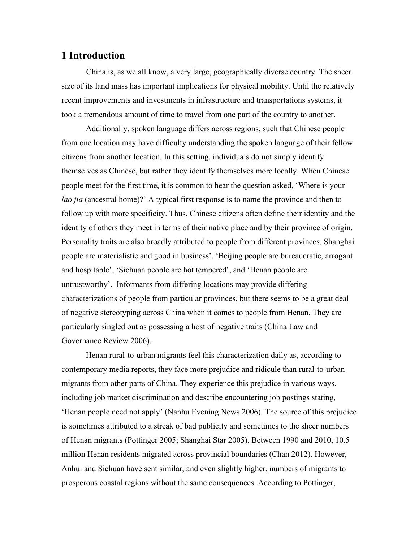### **1 Introduction**

China is, as we all know, a very large, geographically diverse country. The sheer size of its land mass has important implications for physical mobility. Until the relatively recent improvements and investments in infrastructure and transportations systems, it took a tremendous amount of time to travel from one part of the country to another.

Additionally, spoken language differs across regions, such that Chinese people from one location may have difficulty understanding the spoken language of their fellow citizens from another location. In this setting, individuals do not simply identify themselves as Chinese, but rather they identify themselves more locally. When Chinese people meet for the first time, it is common to hear the question asked, 'Where is your *lao jia* (ancestral home)?' A typical first response is to name the province and then to follow up with more specificity. Thus, Chinese citizens often define their identity and the identity of others they meet in terms of their native place and by their province of origin. Personality traits are also broadly attributed to people from different provinces. Shanghai people are materialistic and good in business', 'Beijing people are bureaucratic, arrogant and hospitable', 'Sichuan people are hot tempered', and 'Henan people are untrustworthy'. Informants from differing locations may provide differing characterizations of people from particular provinces, but there seems to be a great deal of negative stereotyping across China when it comes to people from Henan. They are particularly singled out as possessing a host of negative traits (China Law and Governance Review 2006).

Henan rural-to-urban migrants feel this characterization daily as, according to contemporary media reports, they face more prejudice and ridicule than rural-to-urban migrants from other parts of China. They experience this prejudice in various ways, including job market discrimination and describe encountering job postings stating, 'Henan people need not apply' (Nanhu Evening News 2006). The source of this prejudice is sometimes attributed to a streak of bad publicity and sometimes to the sheer numbers of Henan migrants (Pottinger 2005; Shanghai Star 2005). Between 1990 and 2010, 10.5 million Henan residents migrated across provincial boundaries (Chan 2012). However, Anhui and Sichuan have sent similar, and even slightly higher, numbers of migrants to prosperous coastal regions without the same consequences. According to Pottinger,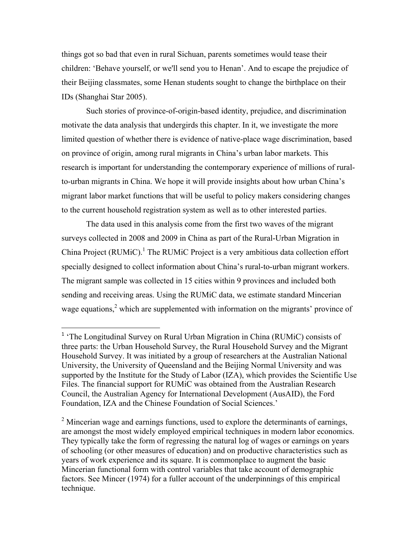things got so bad that even in rural Sichuan, parents sometimes would tease their children: 'Behave yourself, or we'll send you to Henan'. And to escape the prejudice of their Beijing classmates, some Henan students sought to change the birthplace on their IDs (Shanghai Star 2005).

Such stories of province-of-origin-based identity, prejudice, and discrimination motivate the data analysis that undergirds this chapter. In it, we investigate the more limited question of whether there is evidence of native-place wage discrimination, based on province of origin, among rural migrants in China's urban labor markets. This research is important for understanding the contemporary experience of millions of ruralto-urban migrants in China. We hope it will provide insights about how urban China's migrant labor market functions that will be useful to policy makers considering changes to the current household registration system as well as to other interested parties.

The data used in this analysis come from the first two waves of the migrant surveys collected in 2008 and 2009 in China as part of the Rural-Urban Migration in China Project (RUMiC).<sup>1</sup> The RUMiC Project is a very ambitious data collection effort specially designed to collect information about China's rural-to-urban migrant workers. The migrant sample was collected in 15 cities within 9 provinces and included both sending and receiving areas. Using the RUMiC data, we estimate standard Mincerian wage equations, $\lambda$  which are supplemented with information on the migrants' province of

<u> 1989 - Johann Stein, markin film yn y breninn y breninn y breninn y breninn y breninn y breninn y breninn y b</u>

<sup>&</sup>lt;sup>1</sup> 'The Longitudinal Survey on Rural Urban Migration in China (RUMiC) consists of three parts: the Urban Household Survey, the Rural Household Survey and the Migrant Household Survey. It was initiated by a group of researchers at the Australian National University, the University of Queensland and the Beijing Normal University and was supported by the Institute for the Study of Labor (IZA), which provides the Scientific Use Files. The financial support for RUMiC was obtained from the Australian Research Council, the Australian Agency for International Development (AusAID), the Ford Foundation, IZA and the Chinese Foundation of Social Sciences.'

 $2\pi$  Mincerian wage and earnings functions, used to explore the determinants of earnings, are amongst the most widely employed empirical techniques in modern labor economics. They typically take the form of regressing the natural log of wages or earnings on years of schooling (or other measures of education) and on productive characteristics such as years of work experience and its square. It is commonplace to augment the basic Mincerian functional form with control variables that take account of demographic factors. See Mincer (1974) for a fuller account of the underpinnings of this empirical technique.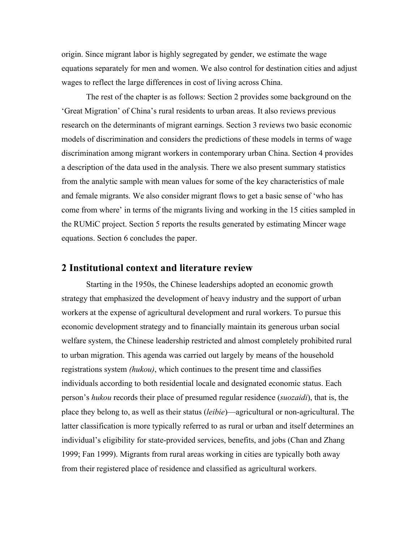origin. Since migrant labor is highly segregated by gender, we estimate the wage equations separately for men and women. We also control for destination cities and adjust wages to reflect the large differences in cost of living across China.

The rest of the chapter is as follows: Section 2 provides some background on the 'Great Migration' of China's rural residents to urban areas. It also reviews previous research on the determinants of migrant earnings. Section 3 reviews two basic economic models of discrimination and considers the predictions of these models in terms of wage discrimination among migrant workers in contemporary urban China. Section 4 provides a description of the data used in the analysis. There we also present summary statistics from the analytic sample with mean values for some of the key characteristics of male and female migrants. We also consider migrant flows to get a basic sense of 'who has come from where' in terms of the migrants living and working in the 15 cities sampled in the RUMiC project. Section 5 reports the results generated by estimating Mincer wage equations. Section 6 concludes the paper.

### **2 Institutional context and literature review**

Starting in the 1950s, the Chinese leaderships adopted an economic growth strategy that emphasized the development of heavy industry and the support of urban workers at the expense of agricultural development and rural workers. To pursue this economic development strategy and to financially maintain its generous urban social welfare system, the Chinese leadership restricted and almost completely prohibited rural to urban migration. This agenda was carried out largely by means of the household registrations system *(hukou)*, which continues to the present time and classifies individuals according to both residential locale and designated economic status. Each person's *hukou* records their place of presumed regular residence (*suozaidi*), that is, the place they belong to, as well as their status (*leibie*)—agricultural or non-agricultural. The latter classification is more typically referred to as rural or urban and itself determines an individual's eligibility for state-provided services, benefits, and jobs (Chan and Zhang 1999; Fan 1999). Migrants from rural areas working in cities are typically both away from their registered place of residence and classified as agricultural workers.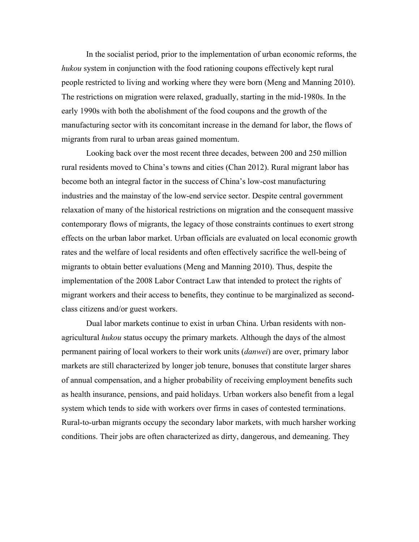In the socialist period, prior to the implementation of urban economic reforms, the *hukou* system in conjunction with the food rationing coupons effectively kept rural people restricted to living and working where they were born (Meng and Manning 2010). The restrictions on migration were relaxed, gradually, starting in the mid-1980s. In the early 1990s with both the abolishment of the food coupons and the growth of the manufacturing sector with its concomitant increase in the demand for labor, the flows of migrants from rural to urban areas gained momentum.

Looking back over the most recent three decades, between 200 and 250 million rural residents moved to China's towns and cities (Chan 2012). Rural migrant labor has become both an integral factor in the success of China's low-cost manufacturing industries and the mainstay of the low-end service sector. Despite central government relaxation of many of the historical restrictions on migration and the consequent massive contemporary flows of migrants, the legacy of those constraints continues to exert strong effects on the urban labor market. Urban officials are evaluated on local economic growth rates and the welfare of local residents and often effectively sacrifice the well-being of migrants to obtain better evaluations (Meng and Manning 2010). Thus, despite the implementation of the 2008 Labor Contract Law that intended to protect the rights of migrant workers and their access to benefits, they continue to be marginalized as secondclass citizens and/or guest workers.

Dual labor markets continue to exist in urban China. Urban residents with nonagricultural *hukou* status occupy the primary markets. Although the days of the almost permanent pairing of local workers to their work units (*danwei*) are over, primary labor markets are still characterized by longer job tenure, bonuses that constitute larger shares of annual compensation, and a higher probability of receiving employment benefits such as health insurance, pensions, and paid holidays. Urban workers also benefit from a legal system which tends to side with workers over firms in cases of contested terminations. Rural-to-urban migrants occupy the secondary labor markets, with much harsher working conditions. Their jobs are often characterized as dirty, dangerous, and demeaning. They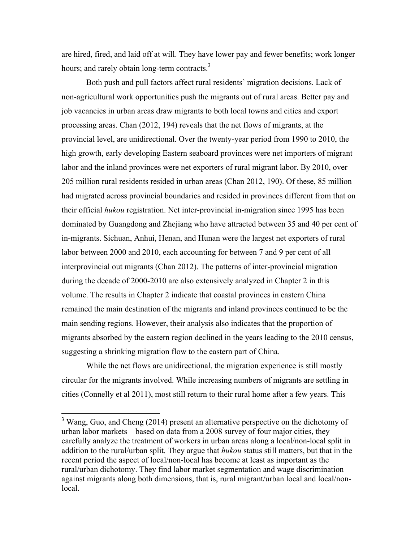are hired, fired, and laid off at will. They have lower pay and fewer benefits; work longer hours; and rarely obtain long-term contracts.<sup>3</sup>

Both push and pull factors affect rural residents' migration decisions. Lack of non-agricultural work opportunities push the migrants out of rural areas. Better pay and job vacancies in urban areas draw migrants to both local towns and cities and export processing areas. Chan (2012, 194) reveals that the net flows of migrants, at the provincial level, are unidirectional. Over the twenty-year period from 1990 to 2010, the high growth, early developing Eastern seaboard provinces were net importers of migrant labor and the inland provinces were net exporters of rural migrant labor. By 2010, over 205 million rural residents resided in urban areas (Chan 2012, 190). Of these, 85 million had migrated across provincial boundaries and resided in provinces different from that on their official *hukou* registration. Net inter-provincial in-migration since 1995 has been dominated by Guangdong and Zhejiang who have attracted between 35 and 40 per cent of in-migrants. Sichuan, Anhui, Henan, and Hunan were the largest net exporters of rural labor between 2000 and 2010, each accounting for between 7 and 9 per cent of all interprovincial out migrants (Chan 2012). The patterns of inter-provincial migration during the decade of 2000-2010 are also extensively analyzed in Chapter 2 in this volume. The results in Chapter 2 indicate that coastal provinces in eastern China remained the main destination of the migrants and inland provinces continued to be the main sending regions. However, their analysis also indicates that the proportion of migrants absorbed by the eastern region declined in the years leading to the 2010 census, suggesting a shrinking migration flow to the eastern part of China.

While the net flows are unidirectional, the migration experience is still mostly circular for the migrants involved. While increasing numbers of migrants are settling in cities (Connelly et al 2011), most still return to their rural home after a few years. This

 $3$  Wang, Guo, and Cheng (2014) present an alternative perspective on the dichotomy of urban labor markets—based on data from a 2008 survey of four major cities, they carefully analyze the treatment of workers in urban areas along a local/non-local split in addition to the rural/urban split. They argue that *hukou* status still matters, but that in the recent period the aspect of local/non-local has become at least as important as the rural/urban dichotomy. They find labor market segmentation and wage discrimination against migrants along both dimensions, that is, rural migrant/urban local and local/nonlocal.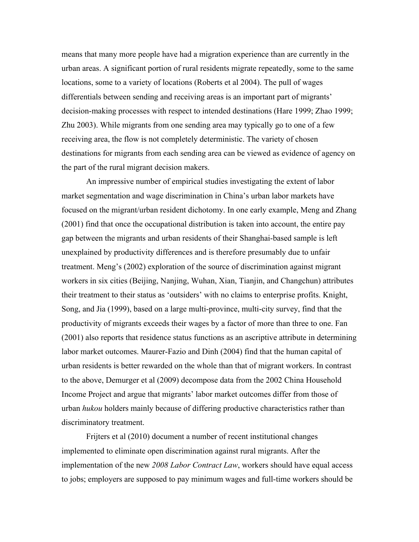means that many more people have had a migration experience than are currently in the urban areas. A significant portion of rural residents migrate repeatedly, some to the same locations, some to a variety of locations (Roberts et al 2004). The pull of wages differentials between sending and receiving areas is an important part of migrants' decision-making processes with respect to intended destinations (Hare 1999; Zhao 1999; Zhu 2003). While migrants from one sending area may typically go to one of a few receiving area, the flow is not completely deterministic. The variety of chosen destinations for migrants from each sending area can be viewed as evidence of agency on the part of the rural migrant decision makers.

An impressive number of empirical studies investigating the extent of labor market segmentation and wage discrimination in China's urban labor markets have focused on the migrant/urban resident dichotomy. In one early example, Meng and Zhang (2001) find that once the occupational distribution is taken into account, the entire pay gap between the migrants and urban residents of their Shanghai-based sample is left unexplained by productivity differences and is therefore presumably due to unfair treatment. Meng's (2002) exploration of the source of discrimination against migrant workers in six cities (Beijing, Nanjing, Wuhan, Xian, Tianjin, and Changchun) attributes their treatment to their status as 'outsiders' with no claims to enterprise profits. Knight, Song, and Jia (1999), based on a large multi-province, multi-city survey, find that the productivity of migrants exceeds their wages by a factor of more than three to one. Fan (2001) also reports that residence status functions as an ascriptive attribute in determining labor market outcomes. Maurer-Fazio and Dinh (2004) find that the human capital of urban residents is better rewarded on the whole than that of migrant workers. In contrast to the above, Demurger et al (2009) decompose data from the 2002 China Household Income Project and argue that migrants' labor market outcomes differ from those of urban *hukou* holders mainly because of differing productive characteristics rather than discriminatory treatment.

Frijters et al (2010) document a number of recent institutional changes implemented to eliminate open discrimination against rural migrants. After the implementation of the new *2008 Labor Contract Law*, workers should have equal access to jobs; employers are supposed to pay minimum wages and full-time workers should be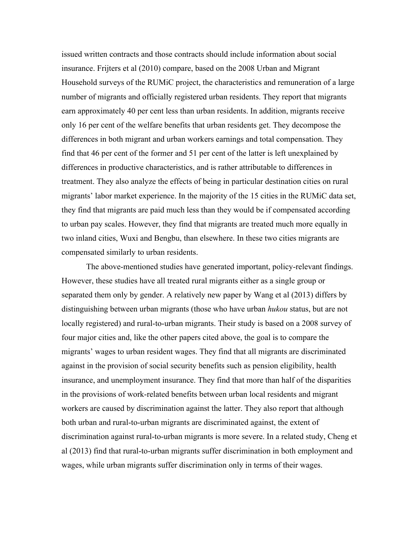issued written contracts and those contracts should include information about social insurance. Frijters et al (2010) compare, based on the 2008 Urban and Migrant Household surveys of the RUMiC project, the characteristics and remuneration of a large number of migrants and officially registered urban residents. They report that migrants earn approximately 40 per cent less than urban residents. In addition, migrants receive only 16 per cent of the welfare benefits that urban residents get. They decompose the differences in both migrant and urban workers earnings and total compensation. They find that 46 per cent of the former and 51 per cent of the latter is left unexplained by differences in productive characteristics, and is rather attributable to differences in treatment. They also analyze the effects of being in particular destination cities on rural migrants' labor market experience. In the majority of the 15 cities in the RUMiC data set, they find that migrants are paid much less than they would be if compensated according to urban pay scales. However, they find that migrants are treated much more equally in two inland cities, Wuxi and Bengbu, than elsewhere. In these two cities migrants are compensated similarly to urban residents.

The above-mentioned studies have generated important, policy-relevant findings. However, these studies have all treated rural migrants either as a single group or separated them only by gender. A relatively new paper by Wang et al (2013) differs by distinguishing between urban migrants (those who have urban *hukou* status, but are not locally registered) and rural-to-urban migrants. Their study is based on a 2008 survey of four major cities and, like the other papers cited above, the goal is to compare the migrants' wages to urban resident wages. They find that all migrants are discriminated against in the provision of social security benefits such as pension eligibility, health insurance, and unemployment insurance. They find that more than half of the disparities in the provisions of work-related benefits between urban local residents and migrant workers are caused by discrimination against the latter. They also report that although both urban and rural-to-urban migrants are discriminated against, the extent of discrimination against rural-to-urban migrants is more severe. In a related study, Cheng et al (2013) find that rural-to-urban migrants suffer discrimination in both employment and wages, while urban migrants suffer discrimination only in terms of their wages.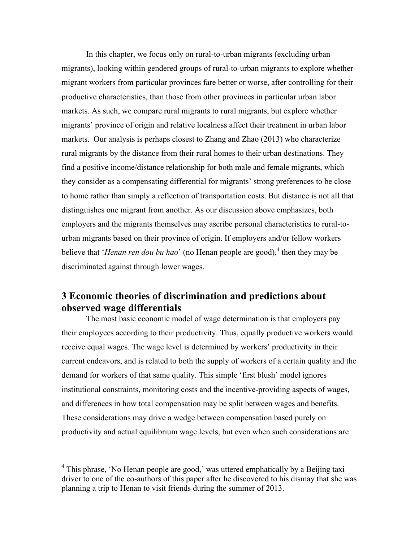In this chapter, we focus only on rural-to-urban migrants (excluding urban migrants), looking within gendered groups of rural-to-urban migrants to explore whether migrant workers from particular provinces fare better or worse, after controlling for their productive characteristics, than those from other provinces in particular urban labor markets. As such, we compare rural migrants to rural migrants, but explore whether migrants' province of origin and relative localness affect their treatment in urban labor markets. Our analysis is perhaps closest to Zhang and Zhao (2013) who characterize rural migrants by the distance from their rural homes to their urban destinations. They find a positive income/distance relationship for both male and female migrants, which they consider as a compensating differential for migrants' strong preferences to be close to home rather than simply a reflection of transportation costs. But distance is not all that distinguishes one migrant from another. As our discussion above emphasizes, both employers and the migrants themselves may ascribe personal characteristics to rural-tourban migrants based on their province of origin. If employers and/or fellow workers believe that *'Henan ren dou bu hao'* (no Henan people are good),<sup>4</sup> then they may be discriminated against through lower wages.

### **3 Economic theories of discrimination and predictions about observed wage differentials**

The most basic economic model of wage determination is that employers pay their employees according to their productivity. Thus, equally productive workers would receive equal wages. The wage level is determined by workers' productivity in their current endeavors, and is related to both the supply of workers of a certain quality and the demand for workers of that same quality. This simple 'first blush' model ignores institutional constraints, monitoring costs and the incentive-providing aspects of wages, and differences in how total compensation may be split between wages and benefits. These considerations may drive a wedge between compensation based purely on productivity and actual equilibrium wage levels, but even when such considerations are

<sup>&</sup>lt;sup>4</sup> This phrase, 'No Henan people are good,' was uttered emphatically by a Beijing taxi driver to one of the co-authors of this paper after he discovered to his dismay that she was planning a trip to Henan to visit friends during the summer of 2013.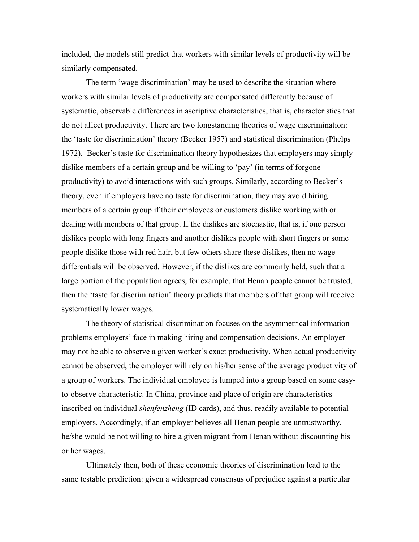included, the models still predict that workers with similar levels of productivity will be similarly compensated.

The term 'wage discrimination' may be used to describe the situation where workers with similar levels of productivity are compensated differently because of systematic, observable differences in ascriptive characteristics, that is, characteristics that do not affect productivity. There are two longstanding theories of wage discrimination: the 'taste for discrimination' theory (Becker 1957) and statistical discrimination (Phelps 1972). Becker's taste for discrimination theory hypothesizes that employers may simply dislike members of a certain group and be willing to 'pay' (in terms of forgone productivity) to avoid interactions with such groups. Similarly, according to Becker's theory, even if employers have no taste for discrimination, they may avoid hiring members of a certain group if their employees or customers dislike working with or dealing with members of that group. If the dislikes are stochastic, that is, if one person dislikes people with long fingers and another dislikes people with short fingers or some people dislike those with red hair, but few others share these dislikes, then no wage differentials will be observed. However, if the dislikes are commonly held, such that a large portion of the population agrees, for example, that Henan people cannot be trusted, then the 'taste for discrimination' theory predicts that members of that group will receive systematically lower wages.

The theory of statistical discrimination focuses on the asymmetrical information problems employers' face in making hiring and compensation decisions. An employer may not be able to observe a given worker's exact productivity. When actual productivity cannot be observed, the employer will rely on his/her sense of the average productivity of a group of workers. The individual employee is lumped into a group based on some easyto-observe characteristic. In China, province and place of origin are characteristics inscribed on individual *shenfenzheng* (ID cards), and thus, readily available to potential employers. Accordingly, if an employer believes all Henan people are untrustworthy, he/she would be not willing to hire a given migrant from Henan without discounting his or her wages.

Ultimately then, both of these economic theories of discrimination lead to the same testable prediction: given a widespread consensus of prejudice against a particular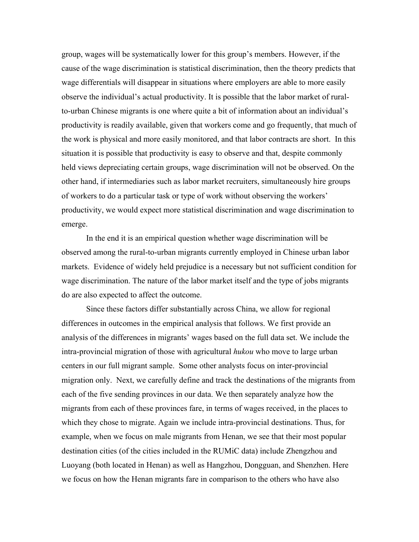group, wages will be systematically lower for this group's members. However, if the cause of the wage discrimination is statistical discrimination, then the theory predicts that wage differentials will disappear in situations where employers are able to more easily observe the individual's actual productivity. It is possible that the labor market of ruralto-urban Chinese migrants is one where quite a bit of information about an individual's productivity is readily available, given that workers come and go frequently, that much of the work is physical and more easily monitored, and that labor contracts are short. In this situation it is possible that productivity is easy to observe and that, despite commonly held views depreciating certain groups, wage discrimination will not be observed. On the other hand, if intermediaries such as labor market recruiters, simultaneously hire groups of workers to do a particular task or type of work without observing the workers' productivity, we would expect more statistical discrimination and wage discrimination to emerge.

In the end it is an empirical question whether wage discrimination will be observed among the rural-to-urban migrants currently employed in Chinese urban labor markets. Evidence of widely held prejudice is a necessary but not sufficient condition for wage discrimination. The nature of the labor market itself and the type of jobs migrants do are also expected to affect the outcome.

Since these factors differ substantially across China, we allow for regional differences in outcomes in the empirical analysis that follows. We first provide an analysis of the differences in migrants' wages based on the full data set. We include the intra-provincial migration of those with agricultural *hukou* who move to large urban centers in our full migrant sample. Some other analysts focus on inter-provincial migration only. Next, we carefully define and track the destinations of the migrants from each of the five sending provinces in our data. We then separately analyze how the migrants from each of these provinces fare, in terms of wages received, in the places to which they chose to migrate. Again we include intra-provincial destinations. Thus, for example, when we focus on male migrants from Henan, we see that their most popular destination cities (of the cities included in the RUMiC data) include Zhengzhou and Luoyang (both located in Henan) as well as Hangzhou, Dongguan, and Shenzhen. Here we focus on how the Henan migrants fare in comparison to the others who have also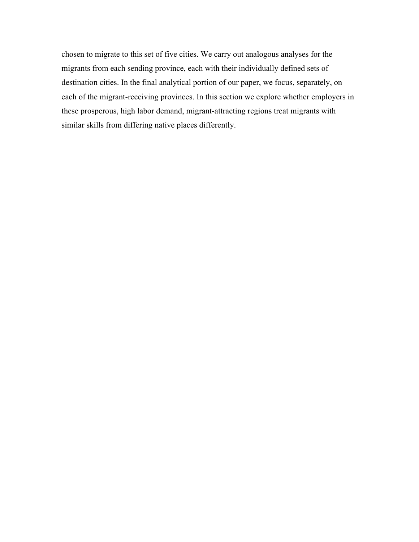chosen to migrate to this set of five cities. We carry out analogous analyses for the migrants from each sending province, each with their individually defined sets of destination cities. In the final analytical portion of our paper, we focus, separately, on each of the migrant-receiving provinces. In this section we explore whether employers in these prosperous, high labor demand, migrant-attracting regions treat migrants with similar skills from differing native places differently.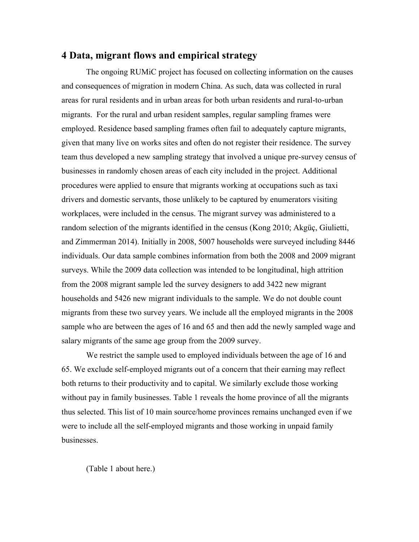### **4 Data, migrant flows and empirical strategy**

The ongoing RUMiC project has focused on collecting information on the causes and consequences of migration in modern China. As such, data was collected in rural areas for rural residents and in urban areas for both urban residents and rural-to-urban migrants. For the rural and urban resident samples, regular sampling frames were employed. Residence based sampling frames often fail to adequately capture migrants, given that many live on works sites and often do not register their residence. The survey team thus developed a new sampling strategy that involved a unique pre-survey census of businesses in randomly chosen areas of each city included in the project. Additional procedures were applied to ensure that migrants working at occupations such as taxi drivers and domestic servants, those unlikely to be captured by enumerators visiting workplaces, were included in the census. The migrant survey was administered to a random selection of the migrants identified in the census (Kong 2010; Akgüç, Giulietti, and Zimmerman 2014). Initially in 2008, 5007 households were surveyed including 8446 individuals. Our data sample combines information from both the 2008 and 2009 migrant surveys. While the 2009 data collection was intended to be longitudinal, high attrition from the 2008 migrant sample led the survey designers to add 3422 new migrant households and 5426 new migrant individuals to the sample. We do not double count migrants from these two survey years. We include all the employed migrants in the 2008 sample who are between the ages of 16 and 65 and then add the newly sampled wage and salary migrants of the same age group from the 2009 survey.

We restrict the sample used to employed individuals between the age of 16 and 65. We exclude self-employed migrants out of a concern that their earning may reflect both returns to their productivity and to capital. We similarly exclude those working without pay in family businesses. Table 1 reveals the home province of all the migrants thus selected. This list of 10 main source/home provinces remains unchanged even if we were to include all the self-employed migrants and those working in unpaid family businesses.

(Table 1 about here.)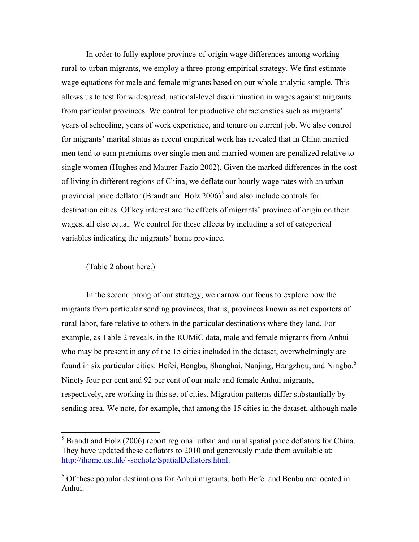In order to fully explore province-of-origin wage differences among working rural-to-urban migrants, we employ a three-prong empirical strategy. We first estimate wage equations for male and female migrants based on our whole analytic sample. This allows us to test for widespread, national-level discrimination in wages against migrants from particular provinces. We control for productive characteristics such as migrants' years of schooling, years of work experience, and tenure on current job. We also control for migrants' marital status as recent empirical work has revealed that in China married men tend to earn premiums over single men and married women are penalized relative to single women (Hughes and Maurer-Fazio 2002). Given the marked differences in the cost of living in different regions of China, we deflate our hourly wage rates with an urban provincial price deflator (Brandt and Holz  $2006$ )<sup>5</sup> and also include controls for destination cities. Of key interest are the effects of migrants' province of origin on their wages, all else equal. We control for these effects by including a set of categorical variables indicating the migrants' home province.

(Table 2 about here.)

In the second prong of our strategy, we narrow our focus to explore how the migrants from particular sending provinces, that is, provinces known as net exporters of rural labor, fare relative to others in the particular destinations where they land. For example, as Table 2 reveals, in the RUMiC data, male and female migrants from Anhui who may be present in any of the 15 cities included in the dataset, overwhelmingly are found in six particular cities: Hefei, Bengbu, Shanghai, Nanjing, Hangzhou, and Ningbo.<sup>6</sup> Ninety four per cent and 92 per cent of our male and female Anhui migrants, respectively, are working in this set of cities. Migration patterns differ substantially by sending area. We note, for example, that among the 15 cities in the dataset, although male

 $<sup>5</sup>$  Brandt and Holz (2006) report regional urban and rural spatial price deflators for China.</sup> They have updated these deflators to 2010 and generously made them available at: http://ihome.ust.hk/~socholz/SpatialDeflators.html.

 $6$  Of these popular destinations for Anhui migrants, both Hefei and Benbu are located in Anhui.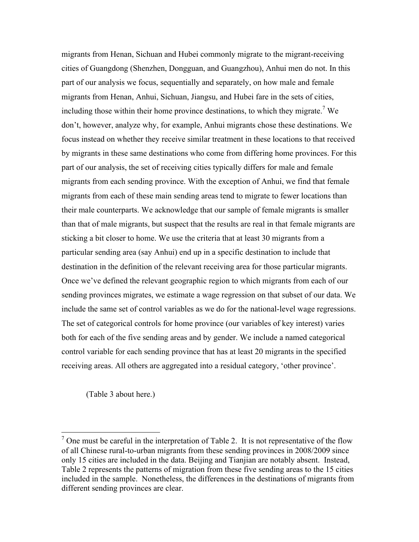migrants from Henan, Sichuan and Hubei commonly migrate to the migrant-receiving cities of Guangdong (Shenzhen, Dongguan, and Guangzhou), Anhui men do not. In this part of our analysis we focus, sequentially and separately, on how male and female migrants from Henan, Anhui, Sichuan, Jiangsu, and Hubei fare in the sets of cities, including those within their home province destinations, to which they migrate.<sup>7</sup> We don't, however, analyze why, for example, Anhui migrants chose these destinations. We focus instead on whether they receive similar treatment in these locations to that received by migrants in these same destinations who come from differing home provinces. For this part of our analysis, the set of receiving cities typically differs for male and female migrants from each sending province. With the exception of Anhui, we find that female migrants from each of these main sending areas tend to migrate to fewer locations than their male counterparts. We acknowledge that our sample of female migrants is smaller than that of male migrants, but suspect that the results are real in that female migrants are sticking a bit closer to home. We use the criteria that at least 30 migrants from a particular sending area (say Anhui) end up in a specific destination to include that destination in the definition of the relevant receiving area for those particular migrants. Once we've defined the relevant geographic region to which migrants from each of our sending provinces migrates, we estimate a wage regression on that subset of our data. We include the same set of control variables as we do for the national-level wage regressions. The set of categorical controls for home province (our variables of key interest) varies both for each of the five sending areas and by gender. We include a named categorical control variable for each sending province that has at least 20 migrants in the specified receiving areas. All others are aggregated into a residual category, 'other province'.

(Table 3 about here.)

 $<sup>7</sup>$  One must be careful in the interpretation of Table 2. It is not representative of the flow</sup> of all Chinese rural-to-urban migrants from these sending provinces in 2008/2009 since only 15 cities are included in the data. Beijing and Tianjian are notably absent. Instead, Table 2 represents the patterns of migration from these five sending areas to the 15 cities included in the sample. Nonetheless, the differences in the destinations of migrants from different sending provinces are clear.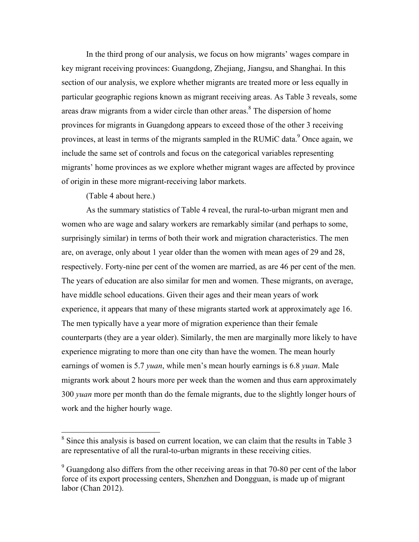In the third prong of our analysis, we focus on how migrants' wages compare in key migrant receiving provinces: Guangdong, Zhejiang, Jiangsu, and Shanghai. In this section of our analysis, we explore whether migrants are treated more or less equally in particular geographic regions known as migrant receiving areas. As Table 3 reveals, some areas draw migrants from a wider circle than other areas.<sup>8</sup> The dispersion of home provinces for migrants in Guangdong appears to exceed those of the other 3 receiving provinces, at least in terms of the migrants sampled in the RUMiC data.<sup>9</sup> Once again, we include the same set of controls and focus on the categorical variables representing migrants' home provinces as we explore whether migrant wages are affected by province of origin in these more migrant-receiving labor markets.

(Table 4 about here.)

As the summary statistics of Table 4 reveal, the rural-to-urban migrant men and women who are wage and salary workers are remarkably similar (and perhaps to some, surprisingly similar) in terms of both their work and migration characteristics. The men are, on average, only about 1 year older than the women with mean ages of 29 and 28, respectively. Forty-nine per cent of the women are married, as are 46 per cent of the men. The years of education are also similar for men and women. These migrants, on average, have middle school educations. Given their ages and their mean years of work experience, it appears that many of these migrants started work at approximately age 16. The men typically have a year more of migration experience than their female counterparts (they are a year older). Similarly, the men are marginally more likely to have experience migrating to more than one city than have the women. The mean hourly earnings of women is 5.7 *yuan*, while men's mean hourly earnings is 6.8 *yuan*. Male migrants work about 2 hours more per week than the women and thus earn approximately 300 *yuan* more per month than do the female migrants, due to the slightly longer hours of work and the higher hourly wage.

<sup>&</sup>lt;sup>8</sup> Since this analysis is based on current location, we can claim that the results in Table 3 are representative of all the rural-to-urban migrants in these receiving cities.

<sup>&</sup>lt;sup>9</sup> Guangdong also differs from the other receiving areas in that 70-80 per cent of the labor force of its export processing centers, Shenzhen and Dongguan, is made up of migrant labor (Chan 2012).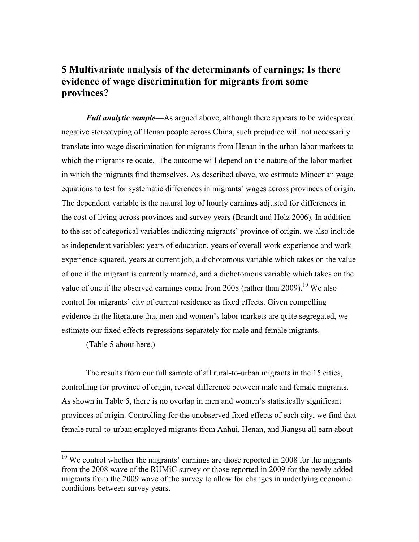### **5 Multivariate analysis of the determinants of earnings: Is there evidence of wage discrimination for migrants from some provinces?**

*Full analytic sample*—As argued above, although there appears to be widespread negative stereotyping of Henan people across China, such prejudice will not necessarily translate into wage discrimination for migrants from Henan in the urban labor markets to which the migrants relocate. The outcome will depend on the nature of the labor market in which the migrants find themselves. As described above, we estimate Mincerian wage equations to test for systematic differences in migrants' wages across provinces of origin. The dependent variable is the natural log of hourly earnings adjusted for differences in the cost of living across provinces and survey years (Brandt and Holz 2006). In addition to the set of categorical variables indicating migrants' province of origin, we also include as independent variables: years of education, years of overall work experience and work experience squared, years at current job, a dichotomous variable which takes on the value of one if the migrant is currently married, and a dichotomous variable which takes on the value of one if the observed earnings come from 2008 (rather than 2009).<sup>10</sup> We also control for migrants' city of current residence as fixed effects. Given compelling evidence in the literature that men and women's labor markets are quite segregated, we estimate our fixed effects regressions separately for male and female migrants.

(Table 5 about here.)

The results from our full sample of all rural-to-urban migrants in the 15 cities, controlling for province of origin, reveal difference between male and female migrants. As shown in Table 5, there is no overlap in men and women's statistically significant provinces of origin. Controlling for the unobserved fixed effects of each city, we find that female rural-to-urban employed migrants from Anhui, Henan, and Jiangsu all earn about

<sup>&</sup>lt;sup>10</sup> We control whether the migrants' earnings are those reported in 2008 for the migrants from the 2008 wave of the RUMiC survey or those reported in 2009 for the newly added migrants from the 2009 wave of the survey to allow for changes in underlying economic conditions between survey years.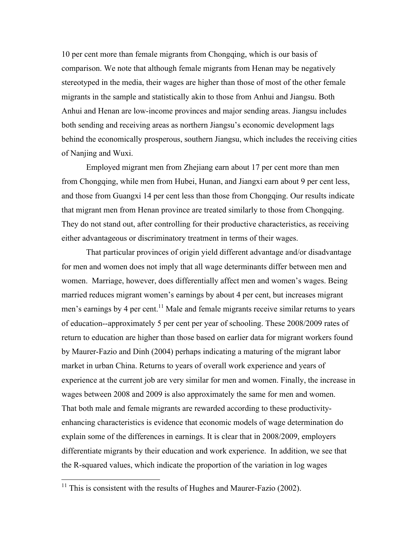10 per cent more than female migrants from Chongqing, which is our basis of comparison. We note that although female migrants from Henan may be negatively stereotyped in the media, their wages are higher than those of most of the other female migrants in the sample and statistically akin to those from Anhui and Jiangsu. Both Anhui and Henan are low-income provinces and major sending areas. Jiangsu includes both sending and receiving areas as northern Jiangsu's economic development lags behind the economically prosperous, southern Jiangsu, which includes the receiving cities of Nanjing and Wuxi.

Employed migrant men from Zhejiang earn about 17 per cent more than men from Chongqing, while men from Hubei, Hunan, and Jiangxi earn about 9 per cent less, and those from Guangxi 14 per cent less than those from Chongqing. Our results indicate that migrant men from Henan province are treated similarly to those from Chongqing. They do not stand out, after controlling for their productive characteristics, as receiving either advantageous or discriminatory treatment in terms of their wages.

That particular provinces of origin yield different advantage and/or disadvantage for men and women does not imply that all wage determinants differ between men and women. Marriage, however, does differentially affect men and women's wages. Being married reduces migrant women's earnings by about 4 per cent, but increases migrant men's earnings by 4 per cent.<sup>11</sup> Male and female migrants receive similar returns to years of education--approximately 5 per cent per year of schooling. These 2008/2009 rates of return to education are higher than those based on earlier data for migrant workers found by Maurer-Fazio and Dinh (2004) perhaps indicating a maturing of the migrant labor market in urban China. Returns to years of overall work experience and years of experience at the current job are very similar for men and women. Finally, the increase in wages between 2008 and 2009 is also approximately the same for men and women. That both male and female migrants are rewarded according to these productivityenhancing characteristics is evidence that economic models of wage determination do explain some of the differences in earnings. It is clear that in 2008/2009, employers differentiate migrants by their education and work experience. In addition, we see that the R-squared values, which indicate the proportion of the variation in log wages

<sup>&</sup>lt;sup>11</sup> This is consistent with the results of Hughes and Maurer-Fazio (2002).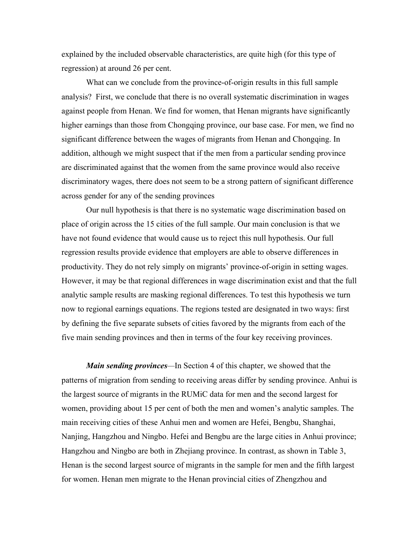explained by the included observable characteristics, are quite high (for this type of regression) at around 26 per cent.

What can we conclude from the province-of-origin results in this full sample analysis? First, we conclude that there is no overall systematic discrimination in wages against people from Henan. We find for women, that Henan migrants have significantly higher earnings than those from Chongqing province, our base case. For men, we find no significant difference between the wages of migrants from Henan and Chongqing. In addition, although we might suspect that if the men from a particular sending province are discriminated against that the women from the same province would also receive discriminatory wages, there does not seem to be a strong pattern of significant difference across gender for any of the sending provinces

Our null hypothesis is that there is no systematic wage discrimination based on place of origin across the 15 cities of the full sample. Our main conclusion is that we have not found evidence that would cause us to reject this null hypothesis. Our full regression results provide evidence that employers are able to observe differences in productivity. They do not rely simply on migrants' province-of-origin in setting wages. However, it may be that regional differences in wage discrimination exist and that the full analytic sample results are masking regional differences. To test this hypothesis we turn now to regional earnings equations. The regions tested are designated in two ways: first by defining the five separate subsets of cities favored by the migrants from each of the five main sending provinces and then in terms of the four key receiving provinces.

*Main sending provinces—*In Section 4 of this chapter, we showed that the patterns of migration from sending to receiving areas differ by sending province. Anhui is the largest source of migrants in the RUMiC data for men and the second largest for women, providing about 15 per cent of both the men and women's analytic samples. The main receiving cities of these Anhui men and women are Hefei, Bengbu, Shanghai, Nanjing, Hangzhou and Ningbo. Hefei and Bengbu are the large cities in Anhui province; Hangzhou and Ningbo are both in Zhejiang province. In contrast, as shown in Table 3, Henan is the second largest source of migrants in the sample for men and the fifth largest for women. Henan men migrate to the Henan provincial cities of Zhengzhou and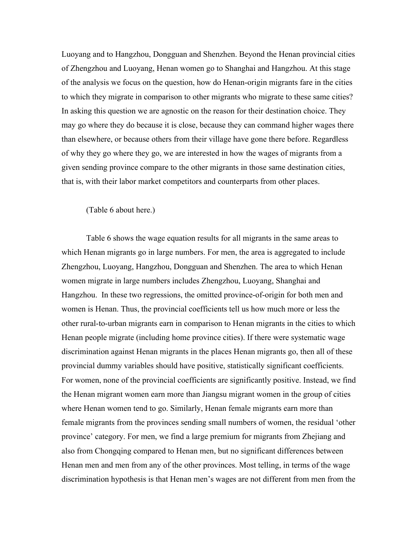Luoyang and to Hangzhou, Dongguan and Shenzhen. Beyond the Henan provincial cities of Zhengzhou and Luoyang, Henan women go to Shanghai and Hangzhou. At this stage of the analysis we focus on the question, how do Henan-origin migrants fare in the cities to which they migrate in comparison to other migrants who migrate to these same cities? In asking this question we are agnostic on the reason for their destination choice. They may go where they do because it is close, because they can command higher wages there than elsewhere, or because others from their village have gone there before. Regardless of why they go where they go, we are interested in how the wages of migrants from a given sending province compare to the other migrants in those same destination cities, that is, with their labor market competitors and counterparts from other places.

#### (Table 6 about here.)

Table 6 shows the wage equation results for all migrants in the same areas to which Henan migrants go in large numbers. For men, the area is aggregated to include Zhengzhou, Luoyang, Hangzhou, Dongguan and Shenzhen. The area to which Henan women migrate in large numbers includes Zhengzhou, Luoyang, Shanghai and Hangzhou. In these two regressions, the omitted province-of-origin for both men and women is Henan. Thus, the provincial coefficients tell us how much more or less the other rural-to-urban migrants earn in comparison to Henan migrants in the cities to which Henan people migrate (including home province cities). If there were systematic wage discrimination against Henan migrants in the places Henan migrants go, then all of these provincial dummy variables should have positive, statistically significant coefficients. For women, none of the provincial coefficients are significantly positive. Instead, we find the Henan migrant women earn more than Jiangsu migrant women in the group of cities where Henan women tend to go. Similarly, Henan female migrants earn more than female migrants from the provinces sending small numbers of women, the residual 'other province' category. For men, we find a large premium for migrants from Zhejiang and also from Chongqing compared to Henan men, but no significant differences between Henan men and men from any of the other provinces. Most telling, in terms of the wage discrimination hypothesis is that Henan men's wages are not different from men from the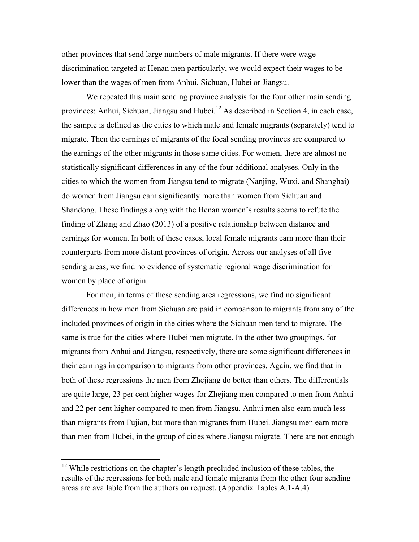other provinces that send large numbers of male migrants. If there were wage discrimination targeted at Henan men particularly, we would expect their wages to be lower than the wages of men from Anhui, Sichuan, Hubei or Jiangsu.

We repeated this main sending province analysis for the four other main sending provinces: Anhui, Sichuan, Jiangsu and Hubei.<sup>12</sup> As described in Section 4, in each case, the sample is defined as the cities to which male and female migrants (separately) tend to migrate. Then the earnings of migrants of the focal sending provinces are compared to the earnings of the other migrants in those same cities. For women, there are almost no statistically significant differences in any of the four additional analyses. Only in the cities to which the women from Jiangsu tend to migrate (Nanjing, Wuxi, and Shanghai) do women from Jiangsu earn significantly more than women from Sichuan and Shandong. These findings along with the Henan women's results seems to refute the finding of Zhang and Zhao (2013) of a positive relationship between distance and earnings for women. In both of these cases, local female migrants earn more than their counterparts from more distant provinces of origin. Across our analyses of all five sending areas, we find no evidence of systematic regional wage discrimination for women by place of origin.

For men, in terms of these sending area regressions, we find no significant differences in how men from Sichuan are paid in comparison to migrants from any of the included provinces of origin in the cities where the Sichuan men tend to migrate. The same is true for the cities where Hubei men migrate. In the other two groupings, for migrants from Anhui and Jiangsu, respectively, there are some significant differences in their earnings in comparison to migrants from other provinces. Again, we find that in both of these regressions the men from Zhejiang do better than others. The differentials are quite large, 23 per cent higher wages for Zhejiang men compared to men from Anhui and 22 per cent higher compared to men from Jiangsu. Anhui men also earn much less than migrants from Fujian, but more than migrants from Hubei. Jiangsu men earn more than men from Hubei, in the group of cities where Jiangsu migrate. There are not enough

 

 $12$  While restrictions on the chapter's length precluded inclusion of these tables, the results of the regressions for both male and female migrants from the other four sending areas are available from the authors on request. (Appendix Tables A.1-A.4)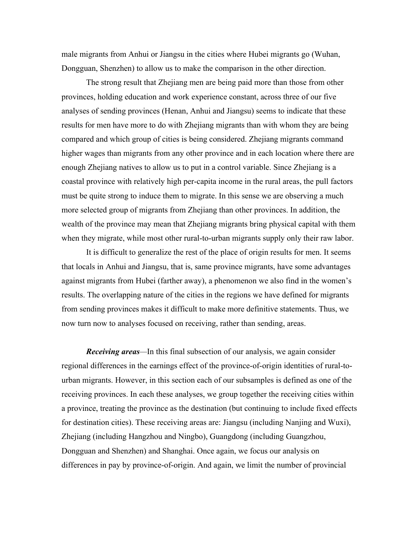male migrants from Anhui or Jiangsu in the cities where Hubei migrants go (Wuhan, Dongguan, Shenzhen) to allow us to make the comparison in the other direction.

The strong result that Zhejiang men are being paid more than those from other provinces, holding education and work experience constant, across three of our five analyses of sending provinces (Henan, Anhui and Jiangsu) seems to indicate that these results for men have more to do with Zhejiang migrants than with whom they are being compared and which group of cities is being considered. Zhejiang migrants command higher wages than migrants from any other province and in each location where there are enough Zhejiang natives to allow us to put in a control variable. Since Zhejiang is a coastal province with relatively high per-capita income in the rural areas, the pull factors must be quite strong to induce them to migrate. In this sense we are observing a much more selected group of migrants from Zhejiang than other provinces. In addition, the wealth of the province may mean that Zhejiang migrants bring physical capital with them when they migrate, while most other rural-to-urban migrants supply only their raw labor.

It is difficult to generalize the rest of the place of origin results for men. It seems that locals in Anhui and Jiangsu, that is, same province migrants, have some advantages against migrants from Hubei (farther away), a phenomenon we also find in the women's results. The overlapping nature of the cities in the regions we have defined for migrants from sending provinces makes it difficult to make more definitive statements. Thus, we now turn now to analyses focused on receiving, rather than sending, areas.

*Receiving areas—*In this final subsection of our analysis, we again consider regional differences in the earnings effect of the province-of-origin identities of rural-tourban migrants. However, in this section each of our subsamples is defined as one of the receiving provinces. In each these analyses, we group together the receiving cities within a province, treating the province as the destination (but continuing to include fixed effects for destination cities). These receiving areas are: Jiangsu (including Nanjing and Wuxi), Zhejiang (including Hangzhou and Ningbo), Guangdong (including Guangzhou, Dongguan and Shenzhen) and Shanghai. Once again, we focus our analysis on differences in pay by province-of-origin. And again, we limit the number of provincial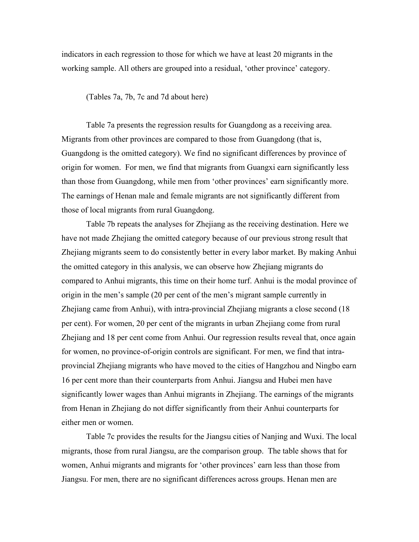indicators in each regression to those for which we have at least 20 migrants in the working sample. All others are grouped into a residual, 'other province' category.

(Tables 7a, 7b, 7c and 7d about here)

Table 7a presents the regression results for Guangdong as a receiving area. Migrants from other provinces are compared to those from Guangdong (that is, Guangdong is the omitted category). We find no significant differences by province of origin for women. For men, we find that migrants from Guangxi earn significantly less than those from Guangdong, while men from 'other provinces' earn significantly more. The earnings of Henan male and female migrants are not significantly different from those of local migrants from rural Guangdong.

Table 7b repeats the analyses for Zhejiang as the receiving destination. Here we have not made Zhejiang the omitted category because of our previous strong result that Zhejiang migrants seem to do consistently better in every labor market. By making Anhui the omitted category in this analysis, we can observe how Zhejiang migrants do compared to Anhui migrants, this time on their home turf. Anhui is the modal province of origin in the men's sample (20 per cent of the men's migrant sample currently in Zhejiang came from Anhui), with intra-provincial Zhejiang migrants a close second (18 per cent). For women, 20 per cent of the migrants in urban Zhejiang come from rural Zhejiang and 18 per cent come from Anhui. Our regression results reveal that, once again for women, no province-of-origin controls are significant. For men, we find that intraprovincial Zhejiang migrants who have moved to the cities of Hangzhou and Ningbo earn 16 per cent more than their counterparts from Anhui. Jiangsu and Hubei men have significantly lower wages than Anhui migrants in Zhejiang. The earnings of the migrants from Henan in Zhejiang do not differ significantly from their Anhui counterparts for either men or women.

Table 7c provides the results for the Jiangsu cities of Nanjing and Wuxi. The local migrants, those from rural Jiangsu, are the comparison group. The table shows that for women, Anhui migrants and migrants for 'other provinces' earn less than those from Jiangsu. For men, there are no significant differences across groups. Henan men are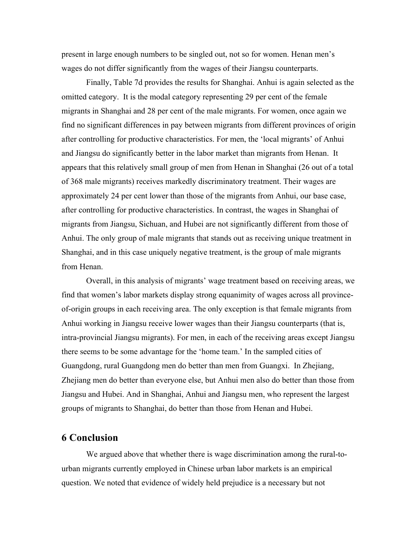present in large enough numbers to be singled out, not so for women. Henan men's wages do not differ significantly from the wages of their Jiangsu counterparts.

Finally, Table 7d provides the results for Shanghai. Anhui is again selected as the omitted category. It is the modal category representing 29 per cent of the female migrants in Shanghai and 28 per cent of the male migrants. For women, once again we find no significant differences in pay between migrants from different provinces of origin after controlling for productive characteristics. For men, the 'local migrants' of Anhui and Jiangsu do significantly better in the labor market than migrants from Henan. It appears that this relatively small group of men from Henan in Shanghai (26 out of a total of 368 male migrants) receives markedly discriminatory treatment. Their wages are approximately 24 per cent lower than those of the migrants from Anhui, our base case, after controlling for productive characteristics. In contrast, the wages in Shanghai of migrants from Jiangsu, Sichuan, and Hubei are not significantly different from those of Anhui. The only group of male migrants that stands out as receiving unique treatment in Shanghai, and in this case uniquely negative treatment, is the group of male migrants from Henan.

Overall, in this analysis of migrants' wage treatment based on receiving areas, we find that women's labor markets display strong equanimity of wages across all provinceof-origin groups in each receiving area. The only exception is that female migrants from Anhui working in Jiangsu receive lower wages than their Jiangsu counterparts (that is, intra-provincial Jiangsu migrants). For men, in each of the receiving areas except Jiangsu there seems to be some advantage for the 'home team.' In the sampled cities of Guangdong, rural Guangdong men do better than men from Guangxi. In Zhejiang, Zhejiang men do better than everyone else, but Anhui men also do better than those from Jiangsu and Hubei. And in Shanghai, Anhui and Jiangsu men, who represent the largest groups of migrants to Shanghai, do better than those from Henan and Hubei.

### **6 Conclusion**

We argued above that whether there is wage discrimination among the rural-tourban migrants currently employed in Chinese urban labor markets is an empirical question. We noted that evidence of widely held prejudice is a necessary but not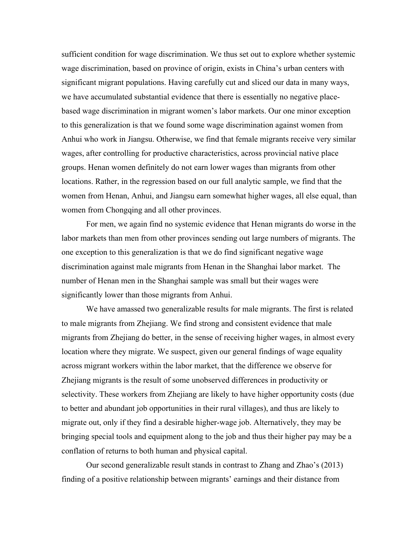sufficient condition for wage discrimination. We thus set out to explore whether systemic wage discrimination, based on province of origin, exists in China's urban centers with significant migrant populations. Having carefully cut and sliced our data in many ways, we have accumulated substantial evidence that there is essentially no negative placebased wage discrimination in migrant women's labor markets. Our one minor exception to this generalization is that we found some wage discrimination against women from Anhui who work in Jiangsu. Otherwise, we find that female migrants receive very similar wages, after controlling for productive characteristics, across provincial native place groups. Henan women definitely do not earn lower wages than migrants from other locations. Rather, in the regression based on our full analytic sample, we find that the women from Henan, Anhui, and Jiangsu earn somewhat higher wages, all else equal, than women from Chongqing and all other provinces.

For men, we again find no systemic evidence that Henan migrants do worse in the labor markets than men from other provinces sending out large numbers of migrants. The one exception to this generalization is that we do find significant negative wage discrimination against male migrants from Henan in the Shanghai labor market. The number of Henan men in the Shanghai sample was small but their wages were significantly lower than those migrants from Anhui.

We have amassed two generalizable results for male migrants. The first is related to male migrants from Zhejiang. We find strong and consistent evidence that male migrants from Zhejiang do better, in the sense of receiving higher wages, in almost every location where they migrate. We suspect, given our general findings of wage equality across migrant workers within the labor market, that the difference we observe for Zhejiang migrants is the result of some unobserved differences in productivity or selectivity. These workers from Zhejiang are likely to have higher opportunity costs (due to better and abundant job opportunities in their rural villages), and thus are likely to migrate out, only if they find a desirable higher-wage job. Alternatively, they may be bringing special tools and equipment along to the job and thus their higher pay may be a conflation of returns to both human and physical capital.

Our second generalizable result stands in contrast to Zhang and Zhao's (2013) finding of a positive relationship between migrants' earnings and their distance from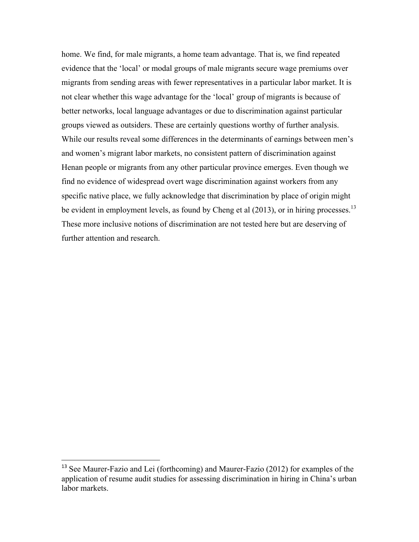home. We find, for male migrants, a home team advantage. That is, we find repeated evidence that the 'local' or modal groups of male migrants secure wage premiums over migrants from sending areas with fewer representatives in a particular labor market. It is not clear whether this wage advantage for the 'local' group of migrants is because of better networks, local language advantages or due to discrimination against particular groups viewed as outsiders. These are certainly questions worthy of further analysis. While our results reveal some differences in the determinants of earnings between men's and women's migrant labor markets, no consistent pattern of discrimination against Henan people or migrants from any other particular province emerges. Even though we find no evidence of widespread overt wage discrimination against workers from any specific native place, we fully acknowledge that discrimination by place of origin might be evident in employment levels, as found by Cheng et al (2013), or in hiring processes.<sup>13</sup> These more inclusive notions of discrimination are not tested here but are deserving of further attention and research.

<u> 1989 - Johann Stein, markin film yn y breninn y breninn y breninn y breninn y breninn y breninn y breninn y b</u>

<sup>&</sup>lt;sup>13</sup> See Maurer-Fazio and Lei (forthcoming) and Maurer-Fazio (2012) for examples of the application of resume audit studies for assessing discrimination in hiring in China's urban labor markets.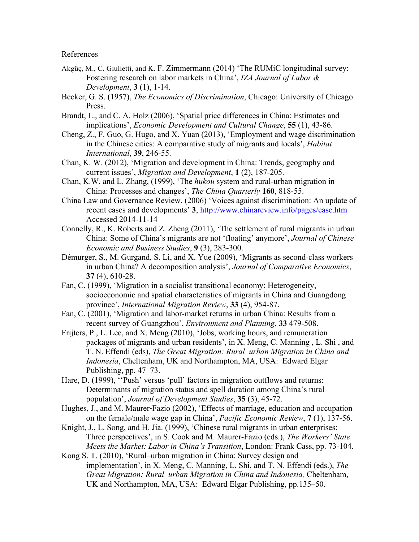References

- Akgüç, M., C. Giulietti, and K. F. Zimmermann (2014) 'The RUMiC longitudinal survey: Fostering research on labor markets in China', *IZA Journal of Labor & Development*, **3** (1), 1-14.
- Becker, G. S. (1957), *The Economics of Discrimination*, Chicago: University of Chicago Press.
- Brandt, L., and C. A. Holz (2006), 'Spatial price differences in China: Estimates and implications', *Economic Development and Cultural Change*, **55** (1), 43-86.
- Cheng, Z., F. Guo, G. Hugo, and X. Yuan (2013), 'Employment and wage discrimination in the Chinese cities: A comparative study of migrants and locals', *Habitat International*, **39**, 246-55.
- Chan, K. W. (2012), 'Migration and development in China: Trends, geography and current issues', *Migration and Development*, **1** (2), 187-205.
- Chan, K.W. and L. Zhang, (1999), 'The *hukou* system and rural-urban migration in China: Processes and changes', *The China Quarterly* **160**, 818-55.
- China Law and Governance Review, (2006) 'Voices against discrimination: An update of recent cases and developments' **3**, http://www.chinareview.info/pages/case.htm Accessed 2014-11-14
- Connelly, R., K. Roberts and Z. Zheng (2011), 'The settlement of rural migrants in urban China: Some of China's migrants are not 'floating' anymore', *Journal of Chinese Economic and Business Studies*, **9** (3), 283-300.
- Démurger, S., M. Gurgand, S. Li, and X. Yue (2009), 'Migrants as second-class workers in urban China? A decomposition analysis', *Journal of Comparative Economics*, **37** (4), 610-28.
- Fan, C. (1999), 'Migration in a socialist transitional economy: Heterogeneity, socioeconomic and spatial characteristics of migrants in China and Guangdong province', *International Migration Review*, **33** (4), 954-87.
- Fan, C. (2001), 'Migration and labor-market returns in urban China: Results from a recent survey of Guangzhou', *Environment and Planning*, **33** 479-508.
- Frijters, P., L. Lee, and X. Meng (2010), 'Jobs, working hours, and remuneration packages of migrants and urban residents', in X. Meng, C. Manning , L. Shi , and T. N. Effendi (eds), *The Great Migration: Rural–urban Migration in China and Indonesia*, Cheltenham, UK and Northampton, MA, USA: Edward Elgar Publishing, pp. 47–73.
- Hare, D. (1999), "Push' versus 'pull' factors in migration outflows and returns: Determinants of migration status and spell duration among China's rural population', *Journal of Development Studies*, **35** (3), 45-72.
- Hughes, J., and M. Maurer-Fazio (2002), 'Effects of marriage, education and occupation on the female/male wage gap in China', *Pacific Economic Review*, **7** (1), 137-56.
- Knight, J., L. Song, and H. Jia. (1999), 'Chinese rural migrants in urban enterprises: Three perspectives', in S. Cook and M. Maurer-Fazio (eds.), *The Workers' State Meets the Market: Labor in China's Transition*, London: Frank Cass, pp. 73-104.
- Kong S. T. (2010), 'Rural–urban migration in China: Survey design and implementation', in X. Meng, C. Manning, L. Shi, and T. N. Effendi (eds.), *The Great Migration: Rural–urban Migration in China and Indonesia,* Cheltenham, UK and Northampton, MA, USA: Edward Elgar Publishing, pp.135–50.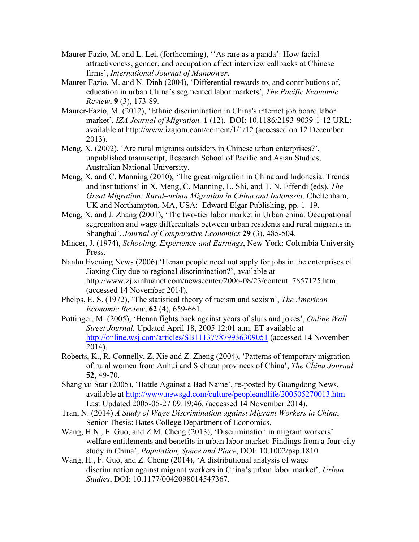- Maurer-Fazio, M. and L. Lei, (forthcoming), ''As rare as a panda': How facial attractiveness, gender, and occupation affect interview callbacks at Chinese firms', *International Journal of Manpower*.
- Maurer-Fazio, M. and N. Dinh (2004), 'Differential rewards to, and contributions of, education in urban China's segmented labor markets', *The Pacific Economic Review*, **9** (3), 173-89.
- Maurer-Fazio, M. (2012), 'Ethnic discrimination in China's internet job board labor market', *IZA Journal of Migration.* **1** (12). DOI: 10.1186/2193-9039-1-12 URL: available at http://www.izajom.com/content/1/1/12 (accessed on 12 December 2013).
- Meng, X. (2002), 'Are rural migrants outsiders in Chinese urban enterprises?', unpublished manuscript, Research School of Pacific and Asian Studies, Australian National University.
- Meng, X. and C. Manning (2010), 'The great migration in China and Indonesia: Trends and institutions' in X. Meng, C. Manning, L. Shi, and T. N. Effendi (eds), *The Great Migration: Rural–urban Migration in China and Indonesia,* Cheltenham, UK and Northampton, MA, USA: Edward Elgar Publishing, pp. 1–19.
- Meng, X. and J. Zhang (2001), 'The two-tier labor market in Urban china: Occupational segregation and wage differentials between urban residents and rural migrants in Shanghai', *Journal of Comparative Economics* **29** (3), 485-504.
- Mincer, J. (1974), *Schooling, Experience and Earnings*, New York: Columbia University Press.
- Nanhu Evening News (2006) 'Henan people need not apply for jobs in the enterprises of Jiaxing City due to regional discrimination?', available at http://www.zj.xinhuanet.com/newscenter/2006-08/23/content\_7857125.htm (accessed 14 November 2014).
- Phelps, E. S. (1972), 'The statistical theory of racism and sexism', *The American Economic Review*, **62** (4), 659-661.
- Pottinger, M. (2005), 'Henan fights back against years of slurs and jokes', *Online Wall Street Journal,* Updated April 18, 2005 12:01 a.m. ET available at http://online.wsj.com/articles/SB111377879936309051 (accessed 14 November 2014).
- Roberts, K., R. Connelly, Z. Xie and Z. Zheng (2004), 'Patterns of temporary migration of rural women from Anhui and Sichuan provinces of China', *The China Journal*  **52**, 49-70.
- Shanghai Star (2005), 'Battle Against a Bad Name', re-posted by Guangdong News, available at http://www.newsgd.com/culture/peopleandlife/200505270013.htm Last Updated 2005-05-27 09:19:46. (accessed 14 November 2014).
- Tran, N. (2014) *A Study of Wage Discrimination against Migrant Workers in China*, Senior Thesis: Bates College Department of Economics.
- Wang, H.N., F. Guo, and Z.M. Cheng (2013), 'Discrimination in migrant workers' welfare entitlements and benefits in urban labor market: Findings from a four-city study in China', *Population, Space and Place*, DOI: 10.1002/psp.1810.
- Wang, H., F. Guo, and Z. Cheng (2014), 'A distributional analysis of wage discrimination against migrant workers in China's urban labor market', *Urban Studies*, DOI: 10.1177/0042098014547367.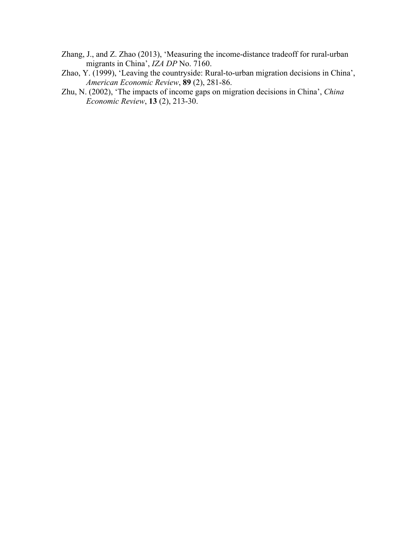- Zhang, J., and Z. Zhao (2013), 'Measuring the income-distance tradeoff for rural-urban migrants in China', *IZA DP* No. 7160.
- Zhao, Y. (1999), 'Leaving the countryside: Rural-to-urban migration decisions in China', *American Economic Review*, **89** (2), 281-86.
- Zhu, N. (2002), 'The impacts of income gaps on migration decisions in China', *China Economic Review*, **13** (2), 213-30.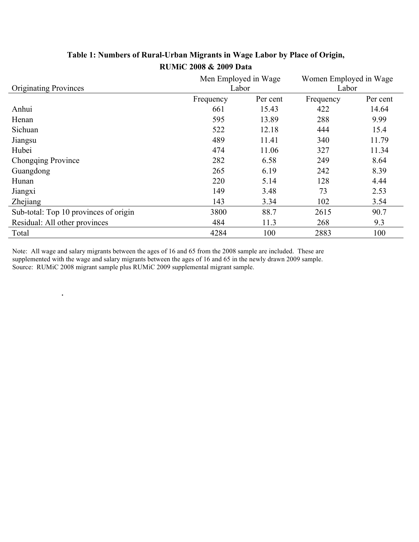|                                       | Men Employed in Wage |          | Women Employed in Wage |          |  |
|---------------------------------------|----------------------|----------|------------------------|----------|--|
| <b>Originating Provinces</b>          | Labor                |          | Labor                  |          |  |
|                                       | Frequency            | Per cent | Frequency              | Per cent |  |
| Anhui                                 | 661                  | 15.43    | 422                    | 14.64    |  |
| Henan                                 | 595                  | 13.89    | 288                    | 9.99     |  |
| Sichuan                               | 522                  | 12.18    | 444                    | 15.4     |  |
| Jiangsu                               | 489                  | 11.41    | 340                    | 11.79    |  |
| Hubei                                 | 474                  | 11.06    | 327                    | 11.34    |  |
| Chongqing Province                    | 282                  | 6.58     | 249                    | 8.64     |  |
| Guangdong                             | 265                  | 6.19     | 242                    | 8.39     |  |
| Hunan                                 | 220                  | 5.14     | 128                    | 4.44     |  |
| Jiangxi                               | 149                  | 3.48     | 73                     | 2.53     |  |
| Zhejiang                              | 143                  | 3.34     | 102                    | 3.54     |  |
| Sub-total: Top 10 provinces of origin | 3800                 | 88.7     | 2615                   | 90.7     |  |
| Residual: All other provinces         | 484                  | 11.3     | 268                    | 9.3      |  |
| Total                                 | 4284                 | 100      | 2883                   | 100      |  |

# **Table 1: Numbers of Rural-Urban Migrants in Wage Labor by Place of Origin, RUMiC 2008 & 2009 Data**

Note: All wage and salary migrants between the ages of 16 and 65 from the 2008 sample are included. These are supplemented with the wage and salary migrants between the ages of 16 and 65 in the newly drawn 2009 sample. Source: RUMiC 2008 migrant sample plus RUMiC 2009 supplemental migrant sample.

**.**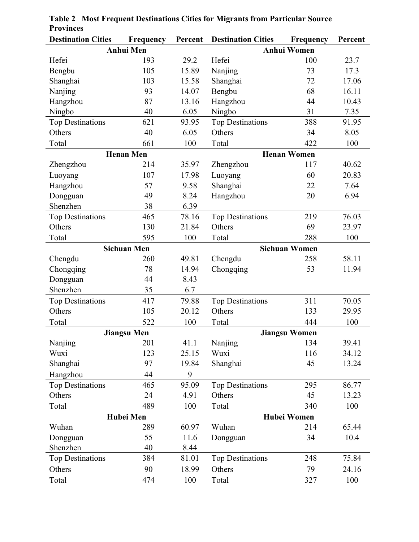| <b>Destination Cities</b> | Frequency          | Percent | <b>Destination Cities</b> | Frequency            | Percent |
|---------------------------|--------------------|---------|---------------------------|----------------------|---------|
|                           | <b>Anhui Men</b>   |         |                           | <b>Anhui Women</b>   |         |
| Hefei                     | 193                | 29.2    | Hefei                     | 100                  | 23.7    |
| Bengbu                    | 105                | 15.89   | Nanjing                   | 73                   | 17.3    |
| Shanghai                  | 103                | 15.58   | Shanghai                  | 72                   | 17.06   |
| Nanjing                   | 93                 | 14.07   | Bengbu                    | 68                   | 16.11   |
| Hangzhou                  | 87                 | 13.16   | Hangzhou                  | 44                   | 10.43   |
| Ningbo                    | 40                 | 6.05    | Ningbo                    | 31                   | 7.35    |
| <b>Top Destinations</b>   | 621                | 93.95   | <b>Top Destinations</b>   | 388                  | 91.95   |
| Others                    | 40                 | 6.05    | Others                    | 34                   | 8.05    |
| Total                     | 661                | 100     | Total                     | 422                  | 100     |
|                           | <b>Henan Men</b>   |         |                           | <b>Henan Women</b>   |         |
| Zhengzhou                 | 214                | 35.97   | Zhengzhou                 | 117                  | 40.62   |
| Luoyang                   | 107                | 17.98   | Luoyang                   | 60                   | 20.83   |
| Hangzhou                  | 57                 | 9.58    | Shanghai                  | 22                   | 7.64    |
| Dongguan                  | 49                 | 8.24    | Hangzhou                  | 20                   | 6.94    |
| Shenzhen                  | 38                 | 6.39    |                           |                      |         |
| <b>Top Destinations</b>   | 465                | 78.16   | <b>Top Destinations</b>   | 219                  | 76.03   |
| Others                    | 130                | 21.84   | Others                    | 69                   | 23.97   |
| Total                     | 595                | 100     | Total                     | 288                  | 100     |
|                           | <b>Sichuan Men</b> |         |                           | <b>Sichuan Women</b> |         |
| Chengdu                   | 260                | 49.81   | Chengdu                   | 258                  | 58.11   |
| Chongqing                 | 78                 | 14.94   | Chongqing                 | 53                   | 11.94   |
| Dongguan                  | 44                 | 8.43    |                           |                      |         |
| Shenzhen                  | 35                 | 6.7     |                           |                      |         |
| <b>Top Destinations</b>   | 417                | 79.88   | <b>Top Destinations</b>   | 311                  | 70.05   |
| Others                    | 105                | 20.12   | Others                    | 133                  | 29.95   |
| Total                     | 522                | 100     | Total                     | 444                  | 100     |
|                           | <b>Jiangsu Men</b> |         |                           | <b>Jiangsu Women</b> |         |
| Nanjing                   | 201                | 41.1    | Nanjing                   | 134                  | 39.41   |
| Wuxi                      | 123                | 25.15   | Wuxi                      | 116                  | 34.12   |
| Shanghai                  | 97                 | 19.84   | Shanghai                  | 45                   | 13.24   |
| Hangzhou                  | 44                 | 9       |                           |                      |         |
| <b>Top Destinations</b>   | 465                | 95.09   | <b>Top Destinations</b>   | 295                  | 86.77   |
| Others                    | 24                 | 4.91    | Others                    | 45                   | 13.23   |
| Total                     | 489                | 100     | Total                     | 340                  | 100     |
|                           | Hubei Men          |         |                           | Hubei Women          |         |
| Wuhan                     | 289                | 60.97   | Wuhan                     | 214                  | 65.44   |
| Dongguan                  | 55                 | 11.6    | Dongguan                  | 34                   | 10.4    |
| Shenzhen                  | 40                 | 8.44    |                           |                      |         |
| <b>Top Destinations</b>   | 384                | 81.01   | <b>Top Destinations</b>   | 248                  | 75.84   |
| Others                    | 90                 | 18.99   | Others                    | 79                   | 24.16   |
| Total                     | 474                | 100     | Total                     | 327                  | 100     |

### **Table 2 Most Frequent Destinations Cities for Migrants from Particular Source Provinces**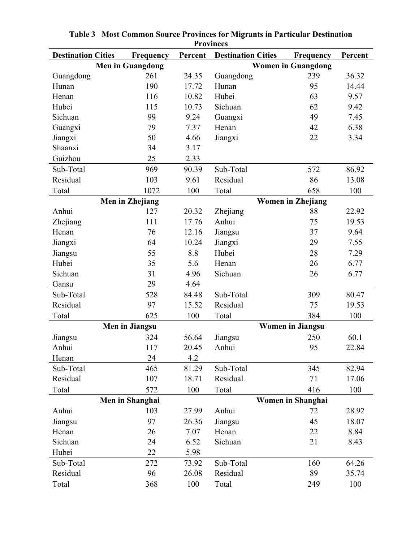|                           |                         |         | <b>Provinces</b>          |                           |         |
|---------------------------|-------------------------|---------|---------------------------|---------------------------|---------|
| <b>Destination Cities</b> | Frequency               | Percent | <b>Destination Cities</b> | Frequency                 | Percent |
|                           | <b>Men in Guangdong</b> |         |                           | <b>Women in Guangdong</b> |         |
| Guangdong                 | 261                     | 24.35   | Guangdong                 | 239                       | 36.32   |
| Hunan                     | 190                     | 17.72   | Hunan                     | 95                        | 14.44   |
| Henan                     | 116                     | 10.82   | Hubei                     | 63                        | 9.57    |
| Hubei                     | 115                     | 10.73   | Sichuan                   | 62                        | 9.42    |
| Sichuan                   | 99                      | 9.24    | Guangxi                   | 49                        | 7.45    |
| Guangxi                   | 79                      | 7.37    | Henan                     | 42                        | 6.38    |
| Jiangxi                   | 50                      | 4.66    | Jiangxi                   | 22                        | 3.34    |
| Shaanxi                   | 34                      | 3.17    |                           |                           |         |
| Guizhou                   | 25                      | 2.33    |                           |                           |         |
| Sub-Total                 | 969                     | 90.39   | Sub-Total                 | 572                       | 86.92   |
| Residual                  | 103                     | 9.61    | Residual                  | 86                        | 13.08   |
| Total                     | 1072                    | 100     | Total                     | 658                       | 100     |
|                           | Men in Zhejiang         |         |                           | <b>Women in Zhejiang</b>  |         |
| Anhui                     | 127                     | 20.32   | Zhejiang                  | 88                        | 22.92   |
| Zhejiang                  | 111                     | 17.76   | Anhui                     | 75                        | 19.53   |
| Henan                     | 76                      | 12.16   | Jiangsu                   | 37                        | 9.64    |
| Jiangxi                   | 64                      | 10.24   | Jiangxi                   | 29                        | 7.55    |
| Jiangsu                   | 55                      | 8.8     | Hubei                     | 28                        | 7.29    |
| Hubei                     | 35                      | 5.6     | Henan                     | 26                        | 6.77    |
| Sichuan                   | 31                      | 4.96    | Sichuan                   | 26                        | 6.77    |
| Gansu                     | 29                      | 4.64    |                           |                           |         |
| Sub-Total                 | 528                     | 84.48   | Sub-Total                 | 309                       | 80.47   |
| Residual                  | 97                      | 15.52   | Residual                  | 75                        | 19.53   |
| Total                     | 625                     | 100     | Total                     | 384                       | 100     |
|                           | Men in Jiangsu          |         |                           | <b>Women in Jiangsu</b>   |         |
| Jiangsu                   | 324                     | 56.64   | Jiangsu                   | 250                       | 60.1    |
| Anhui                     | 117                     | 20.45   | Anhui                     | 95                        | 22.84   |
| Henan                     | 24                      | 4.2     |                           |                           |         |
| Sub-Total                 | 465                     | 81.29   | Sub-Total                 | 345                       | 82.94   |
| Residual                  | 107                     | 18.71   | Residual                  | 71                        | 17.06   |
| Total                     | 572                     | 100     | Total                     | 416                       | 100     |
|                           | Men in Shanghai         |         |                           | Women in Shanghai         |         |
| Anhui                     | 103                     | 27.99   | Anhui                     | 72                        | 28.92   |
| Jiangsu                   | 97                      | 26.36   | Jiangsu                   | 45                        | 18.07   |
| Henan                     | 26                      | 7.07    | Henan                     | 22                        | 8.84    |
| Sichuan                   | 24                      | 6.52    | Sichuan                   | 21                        | 8.43    |
| Hubei                     | 22                      | 5.98    |                           |                           |         |
| Sub-Total                 | 272                     | 73.92   | Sub-Total                 | 160                       | 64.26   |
| Residual                  | 96                      | 26.08   | Residual                  | 89                        | 35.74   |
| Total                     | 368                     | 100     | Total                     | 249                       | 100     |

**Table 3 Most Common Source Provinces for Migrants in Particular Destination**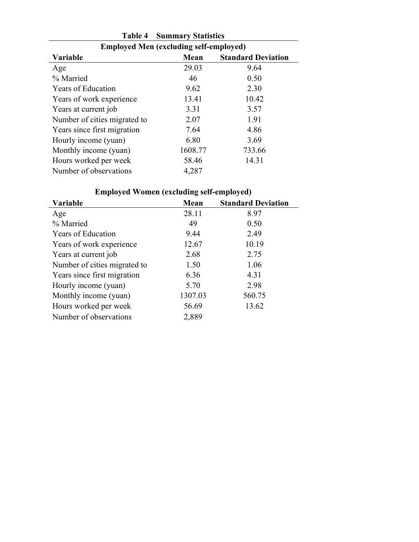| Table 4                      | <b>Summary Statistics</b>                     |                           |  |  |  |  |  |  |  |  |  |
|------------------------------|-----------------------------------------------|---------------------------|--|--|--|--|--|--|--|--|--|
|                              | <b>Employed Men (excluding self-employed)</b> |                           |  |  |  |  |  |  |  |  |  |
| Variable                     | Mean                                          | <b>Standard Deviation</b> |  |  |  |  |  |  |  |  |  |
| Age                          | 29.03                                         | 9.64                      |  |  |  |  |  |  |  |  |  |
| % Married                    | 46                                            | 0.50                      |  |  |  |  |  |  |  |  |  |
| <b>Years of Education</b>    | 9.62                                          | 2.30                      |  |  |  |  |  |  |  |  |  |
| Years of work experience     | 13.41                                         | 10.42                     |  |  |  |  |  |  |  |  |  |
| Years at current job         | 3.31                                          | 3.57                      |  |  |  |  |  |  |  |  |  |
| Number of cities migrated to | 2.07                                          | 1.91                      |  |  |  |  |  |  |  |  |  |
| Years since first migration  | 7.64                                          | 4.86                      |  |  |  |  |  |  |  |  |  |
| Hourly income (yuan)         | 6.80                                          | 3.69                      |  |  |  |  |  |  |  |  |  |
| Monthly income (yuan)        | 1608.77                                       | 733.66                    |  |  |  |  |  |  |  |  |  |
| Hours worked per week        | 58.46                                         | 14.31                     |  |  |  |  |  |  |  |  |  |
| Number of observations       | 4,287                                         |                           |  |  |  |  |  |  |  |  |  |

# **Table 4 Summary Statistics**

# **Employed Women (excluding self-employed)**

| Variable                     | Mean    | <b>Standard Deviation</b> |
|------------------------------|---------|---------------------------|
| Age                          | 28.11   | 8.97                      |
| % Married                    | 49      | 0.50                      |
| <b>Years of Education</b>    | 9.44    | 2.49                      |
| Years of work experience     | 12.67   | 10.19                     |
| Years at current job         | 2.68    | 2.75                      |
| Number of cities migrated to | 1.50    | 1.06                      |
| Years since first migration  | 6.36    | 4.31                      |
| Hourly income (yuan)         | 5.70    | 2.98                      |
| Monthly income (yuan)        | 1307.03 | 560.75                    |
| Hours worked per week        | 56.69   | 13.62                     |
| Number of observations       | 2,889   |                           |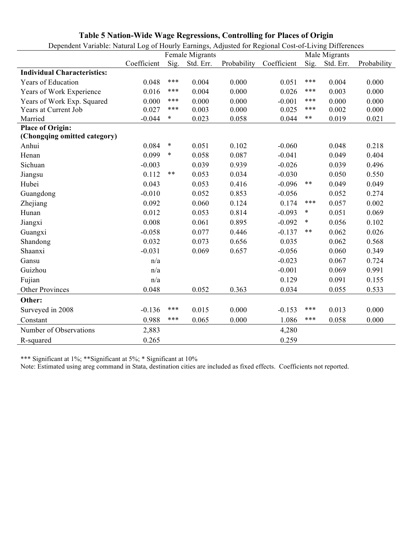| Dependent variable. Natural Log of Hourly Earnings, Adjusted for Regional Cost-Of-Living Differences<br>Female Migrants |             |        |           |             |             |       |               |             |
|-------------------------------------------------------------------------------------------------------------------------|-------------|--------|-----------|-------------|-------------|-------|---------------|-------------|
|                                                                                                                         |             |        |           |             |             |       | Male Migrants |             |
|                                                                                                                         | Coefficient | Sig.   | Std. Err. | Probability | Coefficient | Sig.  | Std. Err.     | Probability |
| <b>Individual Characteristics:</b>                                                                                      |             |        |           |             |             |       |               |             |
| Years of Education                                                                                                      | 0.048       | ***    | 0.004     | 0.000       | 0.051       | $***$ | 0.004         | 0.000       |
| Years of Work Experience                                                                                                | 0.016       | ***    | 0.004     | 0.000       | 0.026       | ***   | 0.003         | 0.000       |
| Years of Work Exp. Squared                                                                                              | 0.000       | ***    | 0.000     | 0.000       | $-0.001$    | ***   | 0.000         | 0.000       |
| Years at Current Job                                                                                                    | 0.027       | ***    | 0.003     | 0.000       | 0.025       | ***   | 0.002         | 0.000       |
| Married                                                                                                                 | $-0.044$    | $\ast$ | 0.023     | 0.058       | 0.044       | $***$ | 0.019         | 0.021       |
| <b>Place of Origin:</b>                                                                                                 |             |        |           |             |             |       |               |             |
| (Chongqing omitted category)                                                                                            |             |        |           |             |             |       |               |             |
| Anhui                                                                                                                   | 0.084       | $\ast$ | 0.051     | 0.102       | $-0.060$    |       | 0.048         | 0.218       |
| Henan                                                                                                                   | 0.099       | $\ast$ | 0.058     | 0.087       | $-0.041$    |       | 0.049         | 0.404       |
| Sichuan                                                                                                                 | $-0.003$    |        | 0.039     | 0.939       | $-0.026$    |       | 0.039         | 0.496       |
| Jiangsu                                                                                                                 | 0.112       | $***$  | 0.053     | 0.034       | $-0.030$    |       | 0.050         | 0.550       |
| Hubei                                                                                                                   | 0.043       |        | 0.053     | 0.416       | $-0.096$    | $***$ | 0.049         | 0.049       |
| Guangdong                                                                                                               | $-0.010$    |        | 0.052     | 0.853       | $-0.056$    |       | 0.052         | 0.274       |
| Zhejiang                                                                                                                | 0.092       |        | 0.060     | 0.124       | 0.174       | ***   | 0.057         | 0.002       |
| Hunan                                                                                                                   | 0.012       |        | 0.053     | 0.814       | $-0.093$    | ∗     | 0.051         | 0.069       |
| Jiangxi                                                                                                                 | 0.008       |        | 0.061     | 0.895       | $-0.092$    | ∗     | 0.056         | 0.102       |
| Guangxi                                                                                                                 | $-0.058$    |        | 0.077     | 0.446       | $-0.137$    | **    | 0.062         | 0.026       |
| Shandong                                                                                                                | 0.032       |        | 0.073     | 0.656       | 0.035       |       | 0.062         | 0.568       |
| Shaanxi                                                                                                                 | $-0.031$    |        | 0.069     | 0.657       | $-0.056$    |       | 0.060         | 0.349       |
| Gansu                                                                                                                   | n/a         |        |           |             | $-0.023$    |       | 0.067         | 0.724       |
| Guizhou                                                                                                                 | n/a         |        |           |             | $-0.001$    |       | 0.069         | 0.991       |
| Fujian                                                                                                                  | n/a         |        |           |             | 0.129       |       | 0.091         | 0.155       |
| <b>Other Provinces</b>                                                                                                  | 0.048       |        | 0.052     | 0.363       | 0.034       |       | 0.055         | 0.533       |
| Other:                                                                                                                  |             |        |           |             |             |       |               |             |
| Surveyed in 2008                                                                                                        | $-0.136$    | ***    | 0.015     | 0.000       | $-0.153$    | ***   | 0.013         | 0.000       |
| Constant                                                                                                                | 0.988       | ***    | 0.065     | 0.000       | 1.086       | ***   | 0.058         | 0.000       |
| Number of Observations                                                                                                  | 2,883       |        |           |             | 4,280       |       |               |             |
| R-squared                                                                                                               | 0.265       |        |           |             | 0.259       |       |               |             |

### **Table 5 Nation-Wide Wage Regressions, Controlling for Places of Origin**

Dependent Variable: Natural Log of Hourly Earnings, Adjusted for Regional Cost-of-Living Differences

\*\*\* Significant at 1%; \*\* Significant at 5%; \* Significant at 10%

Note: Estimated using areg command in Stata, destination cities are included as fixed effects. Coefficients not reported.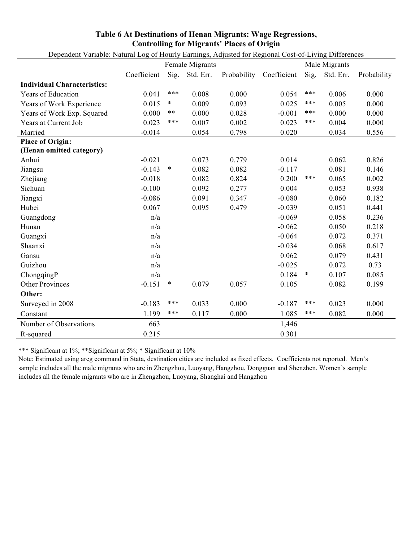| Dependent Variable: Natural Log of Hourly Earnings, Adjusted for Regional Cost-of-Living Differences |             |        |                 |             |             |               |           |             |
|------------------------------------------------------------------------------------------------------|-------------|--------|-----------------|-------------|-------------|---------------|-----------|-------------|
|                                                                                                      |             |        | Female Migrants |             |             | Male Migrants |           |             |
|                                                                                                      | Coefficient | Sig.   | Std. Err.       | Probability | Coefficient | Sig.          | Std. Err. | Probability |
| <b>Individual Characteristics:</b>                                                                   |             |        |                 |             |             |               |           |             |
| Years of Education                                                                                   | 0.041       | ***    | 0.008           | 0.000       | 0.054       | $***$         | 0.006     | 0.000       |
| Years of Work Experience                                                                             | 0.015       | $\ast$ | 0.009           | 0.093       | 0.025       | ***           | 0.005     | 0.000       |
| Years of Work Exp. Squared                                                                           | 0.000       | **     | 0.000           | 0.028       | $-0.001$    | $***$         | 0.000     | 0.000       |
| Years at Current Job                                                                                 | 0.023       | ***    | 0.007           | 0.002       | 0.023       | $***$         | 0.004     | 0.000       |
| Married                                                                                              | $-0.014$    |        | 0.054           | 0.798       | 0.020       |               | 0.034     | 0.556       |
| <b>Place of Origin:</b>                                                                              |             |        |                 |             |             |               |           |             |
| (Henan omitted category)                                                                             |             |        |                 |             |             |               |           |             |
| Anhui                                                                                                | $-0.021$    |        | 0.073           | 0.779       | 0.014       |               | 0.062     | 0.826       |
| Jiangsu                                                                                              | $-0.143$    | $\ast$ | 0.082           | 0.082       | $-0.117$    |               | 0.081     | 0.146       |
| Zhejiang                                                                                             | $-0.018$    |        | 0.082           | 0.824       | 0.200       | $***$         | 0.065     | 0.002       |
| Sichuan                                                                                              | $-0.100$    |        | 0.092           | 0.277       | 0.004       |               | 0.053     | 0.938       |
| Jiangxi                                                                                              | $-0.086$    |        | 0.091           | 0.347       | $-0.080$    |               | 0.060     | 0.182       |
| Hubei                                                                                                | 0.067       |        | 0.095           | 0.479       | $-0.039$    |               | 0.051     | 0.441       |
| Guangdong                                                                                            | n/a         |        |                 |             | $-0.069$    |               | 0.058     | 0.236       |
| Hunan                                                                                                | n/a         |        |                 |             | $-0.062$    |               | 0.050     | 0.218       |
| Guangxi                                                                                              | n/a         |        |                 |             | $-0.064$    |               | 0.072     | 0.371       |
| Shaanxi                                                                                              | n/a         |        |                 |             | $-0.034$    |               | 0.068     | 0.617       |
| Gansu                                                                                                | n/a         |        |                 |             | 0.062       |               | 0.079     | 0.431       |
| Guizhou                                                                                              | n/a         |        |                 |             | $-0.025$    |               | 0.072     | 0.73        |
| ChongqingP                                                                                           | n/a         |        |                 |             | 0.184       | $\ast$        | 0.107     | 0.085       |
| Other Provinces                                                                                      | $-0.151$    | $\ast$ | 0.079           | 0.057       | 0.105       |               | 0.082     | 0.199       |
| Other:                                                                                               |             |        |                 |             |             |               |           |             |
| Surveyed in 2008                                                                                     | $-0.183$    | ***    | 0.033           | 0.000       | $-0.187$    | $***$         | 0.023     | 0.000       |
| Constant                                                                                             | 1.199       | ***    | 0.117           | 0.000       | 1.085       | $***$         | 0.082     | 0.000       |
| Number of Observations                                                                               | 663         |        |                 |             | 1,446       |               |           |             |
| R-squared                                                                                            | 0.215       |        |                 |             | 0.301       |               |           |             |

### **Table 6 At Destinations of Henan Migrants: Wage Regressions, Controlling for Migrants' Places of Origin**

\*\*\* Significant at 1%; \*\*Significant at 5%; \* Significant at 10%

Note: Estimated using areg command in Stata, destination cities are included as fixed effects. Coefficients not reported. Men's sample includes all the male migrants who are in Zhengzhou, Luoyang, Hangzhou, Dongguan and Shenzhen. Women's sample includes all the female migrants who are in Zhengzhou, Luoyang, Shanghai and Hangzhou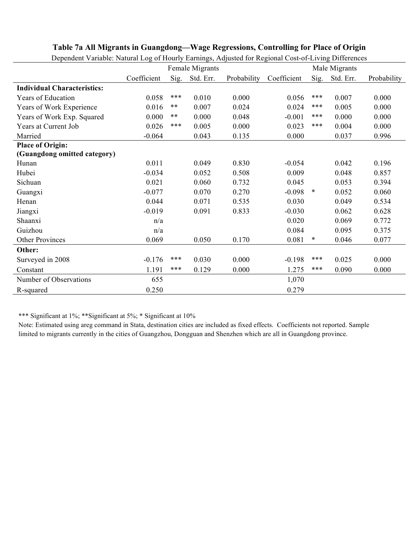| endone variable. Fundin 20g of fromly Edinnigo, Fujdolod for regional cost of Effing Billeroneco |             |       | Female Migrants |             |             | Male Migrants |           |             |
|--------------------------------------------------------------------------------------------------|-------------|-------|-----------------|-------------|-------------|---------------|-----------|-------------|
|                                                                                                  | Coefficient | Sig.  | Std. Err.       | Probability | Coefficient | Sig.          | Std. Err. | Probability |
| <b>Individual Characteristics:</b>                                                               |             |       |                 |             |             |               |           |             |
| Years of Education                                                                               | 0.058       | ***   | 0.010           | 0.000       | 0.056       | ***           | 0.007     | 0.000       |
| Years of Work Experience                                                                         | 0.016       | $***$ | 0.007           | 0.024       | 0.024       | ***           | 0.005     | 0.000       |
| Years of Work Exp. Squared                                                                       | 0.000       | $***$ | 0.000           | 0.048       | $-0.001$    | ***           | 0.000     | 0.000       |
| Years at Current Job                                                                             | 0.026       | ***   | 0.005           | 0.000       | 0.023       | ***           | 0.004     | 0.000       |
| Married                                                                                          | $-0.064$    |       | 0.043           | 0.135       | 0.000       |               | 0.037     | 0.996       |
| <b>Place of Origin:</b>                                                                          |             |       |                 |             |             |               |           |             |
| (Guangdong omitted category)                                                                     |             |       |                 |             |             |               |           |             |
| Hunan                                                                                            | 0.011       |       | 0.049           | 0.830       | $-0.054$    |               | 0.042     | 0.196       |
| Hubei                                                                                            | $-0.034$    |       | 0.052           | 0.508       | 0.009       |               | 0.048     | 0.857       |
| Sichuan                                                                                          | 0.021       |       | 0.060           | 0.732       | 0.045       |               | 0.053     | 0.394       |
| Guangxi                                                                                          | $-0.077$    |       | 0.070           | 0.270       | $-0.098$    | $\ast$        | 0.052     | 0.060       |
| Henan                                                                                            | 0.044       |       | 0.071           | 0.535       | 0.030       |               | 0.049     | 0.534       |
| Jiangxi                                                                                          | $-0.019$    |       | 0.091           | 0.833       | $-0.030$    |               | 0.062     | 0.628       |
| Shaanxi                                                                                          | n/a         |       |                 |             | 0.020       |               | 0.069     | 0.772       |
| Guizhou                                                                                          | n/a         |       |                 |             | 0.084       |               | 0.095     | 0.375       |
| Other Provinces                                                                                  | 0.069       |       | 0.050           | 0.170       | 0.081       | ∗             | 0.046     | 0.077       |
| Other:                                                                                           |             |       |                 |             |             |               |           |             |
| Surveyed in 2008                                                                                 | $-0.176$    | $***$ | 0.030           | 0.000       | $-0.198$    | ***           | 0.025     | 0.000       |
| Constant                                                                                         | 1.191       | $***$ | 0.129           | 0.000       | 1.275       | ***           | 0.090     | 0.000       |
| Number of Observations                                                                           | 655         |       |                 |             | 1,070       |               |           |             |
| R-squared                                                                                        | 0.250       |       |                 |             | 0.279       |               |           |             |

### **Table 7a All Migrants in Guangdong—Wage Regressions, Controlling for Place of Origin**

Dependent Variable: Natural Log of Hourly Earnings, Adjusted for Regional Cost-of-Living Differences

\*\*\* Significant at 1%; \*\*Significant at 5%; \* Significant at 10%

Note: Estimated using areg command in Stata, destination cities are included as fixed effects. Coefficients not reported. Sample limited to migrants currently in the cities of Guangzhou, Dongguan and Shenzhen which are all in Guangdong province.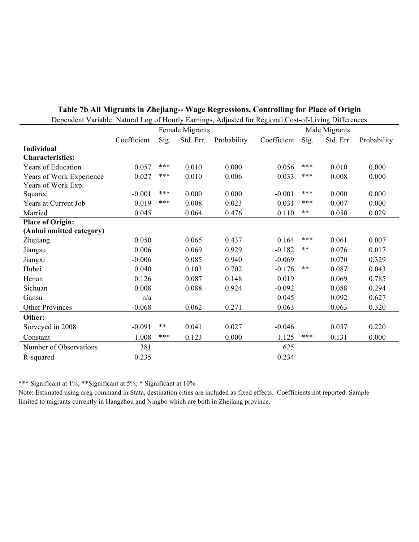| Dependent variable. Natural Log of Hourly Earnings, Adjusted for Regional Cost-Of-Living Differences |             |       |                 |             |             |       |               |             |
|------------------------------------------------------------------------------------------------------|-------------|-------|-----------------|-------------|-------------|-------|---------------|-------------|
|                                                                                                      |             |       | Female Migrants |             |             |       | Male Migrants |             |
|                                                                                                      | Coefficient | Sig.  | Std. Err.       | Probability | Coefficient | Sig.  | Std. Err.     | Probability |
| Individual                                                                                           |             |       |                 |             |             |       |               |             |
| <b>Characteristics:</b>                                                                              |             |       |                 |             |             |       |               |             |
| <b>Years of Education</b>                                                                            | 0.057       | $***$ | 0.010           | 0.000       | 0.056       | $***$ | 0.010         | 0.000       |
| Years of Work Experience                                                                             | 0.027       | $***$ | 0.010           | 0.006       | 0.033       | $***$ | 0.008         | 0.000       |
| Years of Work Exp.                                                                                   |             |       |                 |             |             |       |               |             |
| Squared                                                                                              | $-0.001$    | ***   | 0.000           | 0.000       | $-0.001$    | ***   | 0.000         | 0.000       |
| Years at Current Job                                                                                 | 0.019       | ***   | 0.008           | 0.023       | 0.031       | ***   | 0.007         | 0.000       |
| Married                                                                                              | 0.045       |       | 0.064           | 0.476       | 0.110       | $***$ | 0.050         | 0.029       |
| <b>Place of Origin:</b>                                                                              |             |       |                 |             |             |       |               |             |
| (Anhui omitted category)                                                                             |             |       |                 |             |             |       |               |             |
| Zhejiang                                                                                             | 0.050       |       | 0.065           | 0.437       | 0.164       | $***$ | 0.061         | 0.007       |
| Jiangsu                                                                                              | 0.006       |       | 0.069           | 0.929       | $-0.182$    | $***$ | 0.076         | 0.017       |
| Jiangxi                                                                                              | $-0.006$    |       | 0.085           | 0.940       | $-0.069$    |       | 0.070         | 0.329       |
| Hubei                                                                                                | 0.040       |       | 0.103           | 0.702       | $-0.176$    | $***$ | 0.087         | 0.043       |
| Henan                                                                                                | 0.126       |       | 0.087           | 0.148       | 0.019       |       | 0.069         | 0.785       |
| Sichuan                                                                                              | 0.008       |       | 0.088           | 0.924       | $-0.092$    |       | 0.088         | 0.294       |
| Gansu                                                                                                | n/a         |       |                 |             | 0.045       |       | 0.092         | 0.627       |
| Other Provinces                                                                                      | $-0.068$    |       | 0.062           | 0.271       | 0.063       |       | 0.063         | 0.320       |
| Other:                                                                                               |             |       |                 |             |             |       |               |             |
| Surveyed in 2008                                                                                     | $-0.091$    | $***$ | 0.041           | 0.027       | $-0.046$    |       | 0.037         | 0.220       |
| Constant                                                                                             | 1.008       | ***   | 0.123           | 0.000       | 1.125       | $***$ | 0.131         | 0.000       |
| Number of Observations                                                                               | 381         |       |                 |             | 625         |       |               |             |
| R-squared                                                                                            | 0.235       |       |                 |             | 0.234       |       |               |             |

**Table 7b All Migrants in Zhejiang-- Wage Regressions, Controlling for Place of Origin**

Dependent Variable: Natural Log of Hourly Earnings, Adjusted for Regional Cost-of-Living Differences

\*\*\* Significant at 1%; \*\*Significant at 5%; \* Significant at 10%

Note: Estimated using areg command in Stata, destination cities are included as fixed effects. Coefficients not reported. Sample limited to migrants currently in Hangzhou and Ningbo which are both in Zhejiang province.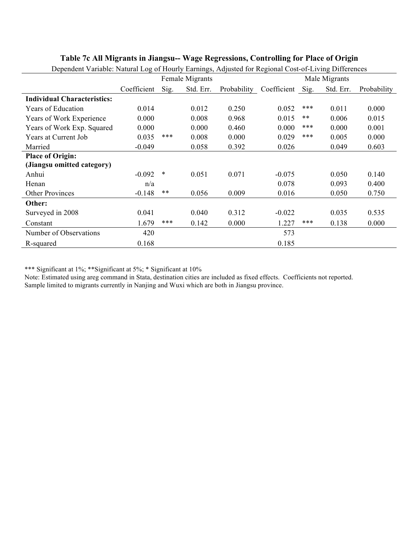| Dependent Variable: Natural Log of Hourly Earnings, Adjusted for Regional Cost-of-Living Differences |             |       |                 |             |                  |       |           |             |
|------------------------------------------------------------------------------------------------------|-------------|-------|-----------------|-------------|------------------|-------|-----------|-------------|
|                                                                                                      |             |       | Female Migrants |             | Male Migrants    |       |           |             |
|                                                                                                      | Coefficient | Sig.  | Std. Err.       | Probability | Coefficient Sig. |       | Std. Err. | Probability |
| <b>Individual Characteristics:</b>                                                                   |             |       |                 |             |                  |       |           |             |
| <b>Years of Education</b>                                                                            | 0.014       |       | 0.012           | 0.250       | 0.052            | ***   | 0.011     | 0.000       |
| Years of Work Experience                                                                             | 0.000       |       | 0.008           | 0.968       | 0.015            | $***$ | 0.006     | 0.015       |
| Years of Work Exp. Squared                                                                           | 0.000       |       | 0.000           | 0.460       | 0.000            | ***   | 0.000     | 0.001       |
| Years at Current Job                                                                                 | 0.035       | ***   | 0.008           | 0.000       | 0.029            | $***$ | 0.005     | 0.000       |
| Married                                                                                              | $-0.049$    |       | 0.058           | 0.392       | 0.026            |       | 0.049     | 0.603       |
| <b>Place of Origin:</b>                                                                              |             |       |                 |             |                  |       |           |             |
| (Jiangsu omitted category)                                                                           |             |       |                 |             |                  |       |           |             |
| Anhui                                                                                                | $-0.092$    | ∗     | 0.051           | 0.071       | $-0.075$         |       | 0.050     | 0.140       |
| Henan                                                                                                | n/a         |       |                 |             | 0.078            |       | 0.093     | 0.400       |
| <b>Other Provinces</b>                                                                               | $-0.148$    | $***$ | 0.056           | 0.009       | 0.016            |       | 0.050     | 0.750       |
| Other:                                                                                               |             |       |                 |             |                  |       |           |             |
| Surveyed in 2008                                                                                     | 0.041       |       | 0.040           | 0.312       | $-0.022$         |       | 0.035     | 0.535       |
| Constant                                                                                             | 1.679       | ***   | 0.142           | 0.000       | 1.227            | ***   | 0.138     | 0.000       |
| Number of Observations                                                                               | 420         |       |                 |             | 573              |       |           |             |
| R-squared                                                                                            | 0.168       |       |                 |             | 0.185            |       |           |             |

### **Table 7c All Migrants in Jiangsu-- Wage Regressions, Controlling for Place of Origin**

Dependent Variable: Natural Log of Hourly Earnings, Adjusted for Regional Cost-of-Living Differences

\*\*\* Significant at 1%; \*\*Significant at 5%; \* Significant at 10%

Note: Estimated using areg command in Stata, destination cities are included as fixed effects. Coefficients not reported. Sample limited to migrants currently in Nanjing and Wuxi which are both in Jiangsu province.